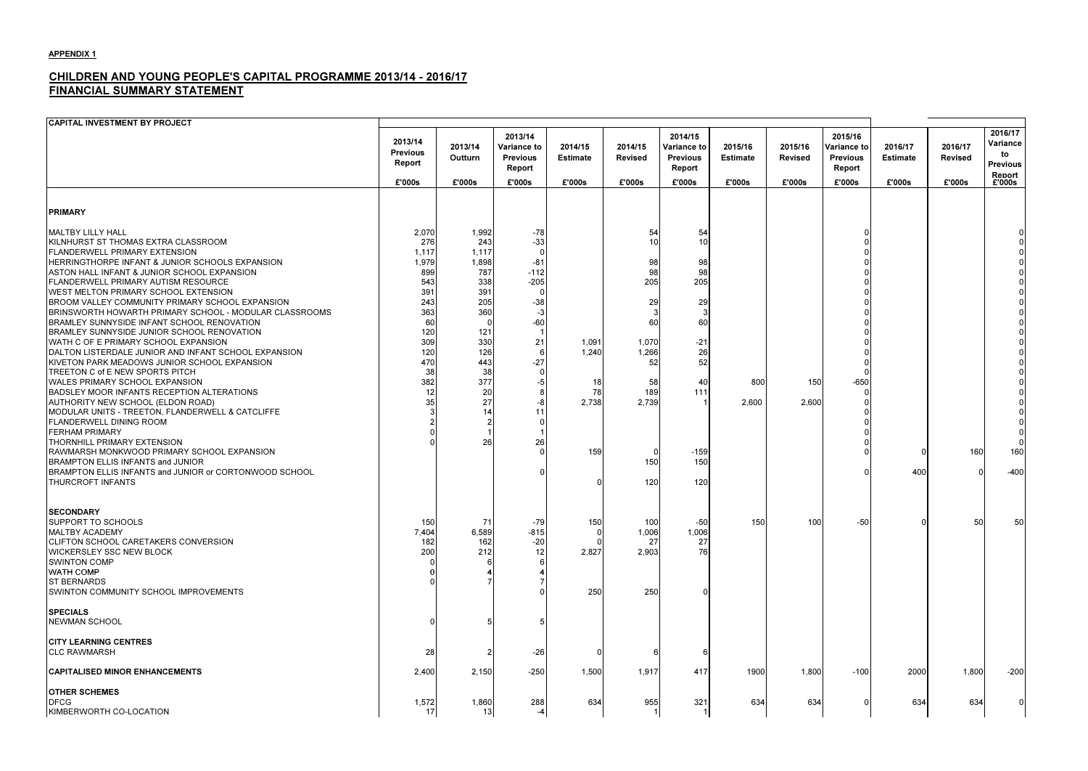# CHILDREN AND YOUNG PEOPLE'S CAPITAL PROGRAMME 2013/14 - 2016/17 FINANCIAL SUMMARY STATEMENT

| <b>CAPITAL INVESTMENT BY PROJECT</b>                                                                                                                                                                                                                                                                                                                                                                                                                                                                                                                                                                                                                                                                                                                                                                                                                                                                                                                                                                                                |                                                                                                                        |                                                                                                                                    |                                                                                  |                                            |                                                                                                   |                                                                                            |                            |                           |                                                     |                            |                           |                                                        |
|-------------------------------------------------------------------------------------------------------------------------------------------------------------------------------------------------------------------------------------------------------------------------------------------------------------------------------------------------------------------------------------------------------------------------------------------------------------------------------------------------------------------------------------------------------------------------------------------------------------------------------------------------------------------------------------------------------------------------------------------------------------------------------------------------------------------------------------------------------------------------------------------------------------------------------------------------------------------------------------------------------------------------------------|------------------------------------------------------------------------------------------------------------------------|------------------------------------------------------------------------------------------------------------------------------------|----------------------------------------------------------------------------------|--------------------------------------------|---------------------------------------------------------------------------------------------------|--------------------------------------------------------------------------------------------|----------------------------|---------------------------|-----------------------------------------------------|----------------------------|---------------------------|--------------------------------------------------------|
|                                                                                                                                                                                                                                                                                                                                                                                                                                                                                                                                                                                                                                                                                                                                                                                                                                                                                                                                                                                                                                     | 2013/14<br><b>Previous</b><br>Report                                                                                   | 2013/14<br>Outturn                                                                                                                 | 2013/14<br><b>Variance to</b><br><b>Previous</b><br>Report                       | 2014/15<br><b>Estimate</b>                 | 2014/15<br><b>Revised</b>                                                                         | 2014/15<br>Variance to<br><b>Previous</b><br>Report                                        | 2015/16<br><b>Estimate</b> | 2015/16<br><b>Revised</b> | 2015/16<br>Variance to<br><b>Previous</b><br>Report | 2016/17<br><b>Estimate</b> | 2016/17<br><b>Revised</b> | 2016/17<br>Variance<br>to<br><b>Previous</b><br>Renort |
|                                                                                                                                                                                                                                                                                                                                                                                                                                                                                                                                                                                                                                                                                                                                                                                                                                                                                                                                                                                                                                     | £'000s                                                                                                                 | £'000s                                                                                                                             | £'000s                                                                           | £'000s                                     | £'000s                                                                                            | £'000s                                                                                     | £'000s                     | £'000s                    | £'000s                                              | £'000s                     | £'000s                    | £'000s                                                 |
| <b>PRIMARY</b>                                                                                                                                                                                                                                                                                                                                                                                                                                                                                                                                                                                                                                                                                                                                                                                                                                                                                                                                                                                                                      |                                                                                                                        |                                                                                                                                    |                                                                                  |                                            |                                                                                                   |                                                                                            |                            |                           |                                                     |                            |                           |                                                        |
| MALTBY LILLY HALL<br>KILNHURST ST THOMAS EXTRA CLASSROOM<br>FLANDERWELL PRIMARY EXTENSION<br>HERRINGTHORPE INFANT & JUNIOR SCHOOLS EXPANSION<br>ASTON HALL INFANT & JUNIOR SCHOOL EXPANSION<br><b>FLANDERWELL PRIMARY AUTISM RESOURCE</b><br>WEST MELTON PRIMARY SCHOOL EXTENSION<br>BROOM VALLEY COMMUNITY PRIMARY SCHOOL EXPANSION<br>BRINSWORTH HOWARTH PRIMARY SCHOOL - MODULAR CLASSROOMS<br>BRAMLEY SUNNYSIDE INFANT SCHOOL RENOVATION<br>BRAMLEY SUNNYSIDE JUNIOR SCHOOL RENOVATION<br>WATH C OF E PRIMARY SCHOOL EXPANSION<br>DALTON LISTERDALE JUNIOR AND INFANT SCHOOL EXPANSION<br>KIVETON PARK MEADOWS JUNIOR SCHOOL EXPANSION<br>TREETON C of E NEW SPORTS PITCH<br>WALES PRIMARY SCHOOL EXPANSION<br>BADSLEY MOOR INFANTS RECEPTION ALTERATIONS<br>AUTHORITY NEW SCHOOL (ELDON ROAD)<br>MODULAR UNITS - TREETON, FLANDERWELL & CATCLIFFE<br><b>FLANDERWELL DINING ROOM</b><br><b>FERHAM PRIMARY</b><br>THORNHILL PRIMARY EXTENSION<br>RAWMARSH MONKWOOD PRIMARY SCHOOL EXPANSION<br>BRAMPTON ELLIS INFANTS and JUNIOR | 2,070<br>276<br>1,117<br>1,979<br>899<br>543<br>391<br>243<br>363<br>60<br>120<br>309<br>120<br>470<br>38<br>382<br>35 | 1,992<br>243<br>1,117<br>1,898<br>787<br>338<br>391<br>205<br>360<br>121<br>330<br>126<br>443<br>38<br>377<br>20<br>27<br>14<br>26 | $-78$<br>$-33$<br>$-81$<br>$-112$<br>$-205$<br>$-38$<br>-60<br>21<br>$-27$<br>26 | 1,091<br>1,240<br>18<br>78<br>2,738<br>159 | 54<br>10<br>98<br>98<br>205<br>29<br>60<br>1,070<br>1,266<br>52<br>58<br>189<br>2,739<br>0<br>150 | 54<br>10<br>98<br>98<br>205<br>29<br>60<br>$-21$<br>26<br>52<br>40<br>111<br>$-159$<br>150 | 800<br>2,600               | 150<br>2,600              | $-650$                                              |                            | 160                       | 160                                                    |
| BRAMPTON ELLIS INFANTS and JUNIOR or CORTONWOOD SCHOOL<br><b>THURCROFT INFANTS</b>                                                                                                                                                                                                                                                                                                                                                                                                                                                                                                                                                                                                                                                                                                                                                                                                                                                                                                                                                  |                                                                                                                        |                                                                                                                                    |                                                                                  |                                            | 120                                                                                               | 120                                                                                        |                            |                           |                                                     | 400                        |                           | $-400$                                                 |
| <b>SECONDARY</b><br><b>SUPPORT TO SCHOOLS</b><br><b>MALTBY ACADEMY</b><br><b>CLIFTON SCHOOL CARETAKERS CONVERSION</b><br><b>WICKERSLEY SSC NEW BLOCK</b><br><b>SWINTON COMP</b><br>WATH COMP<br><b>ST BERNARDS</b><br>SWINTON COMMUNITY SCHOOL IMPROVEMENTS                                                                                                                                                                                                                                                                                                                                                                                                                                                                                                                                                                                                                                                                                                                                                                         | 150<br>7,404<br>182<br>200                                                                                             | <b>71</b><br>6,589<br>162<br>212                                                                                                   | $-79$<br>$-815$<br>$-20$<br>12                                                   | 150<br>2,827<br>250                        | 100<br>1,006<br>27<br>2,903<br>250                                                                | $-50$<br>1,006<br>27<br>76                                                                 | 150                        | 100                       | $-50$                                               |                            | 50                        | <b>50</b>                                              |
| <b>SPECIALS</b><br><b>NEWMAN SCHOOL</b>                                                                                                                                                                                                                                                                                                                                                                                                                                                                                                                                                                                                                                                                                                                                                                                                                                                                                                                                                                                             |                                                                                                                        |                                                                                                                                    |                                                                                  |                                            |                                                                                                   |                                                                                            |                            |                           |                                                     |                            |                           |                                                        |
| <b>CITY LEARNING CENTRES</b><br><b>CLC RAWMARSH</b>                                                                                                                                                                                                                                                                                                                                                                                                                                                                                                                                                                                                                                                                                                                                                                                                                                                                                                                                                                                 | 28                                                                                                                     |                                                                                                                                    | $-26$                                                                            |                                            | 6                                                                                                 |                                                                                            |                            |                           |                                                     |                            |                           |                                                        |
| <b>CAPITALISED MINOR ENHANCEMENTS</b>                                                                                                                                                                                                                                                                                                                                                                                                                                                                                                                                                                                                                                                                                                                                                                                                                                                                                                                                                                                               | 2,400                                                                                                                  | 2,150                                                                                                                              | $-250$                                                                           | 1,500                                      | 1,917                                                                                             | 417                                                                                        | 1900                       | 1,800                     | $-100$                                              | 2000                       | 1,800                     | $-200$                                                 |
| <b>OTHER SCHEMES</b><br><b>DFCG</b><br>KIMBERWORTH CO-LOCATION                                                                                                                                                                                                                                                                                                                                                                                                                                                                                                                                                                                                                                                                                                                                                                                                                                                                                                                                                                      | 1,572<br>17                                                                                                            | 1,860<br>13                                                                                                                        | 288                                                                              | 634                                        | 955<br>$\vert$ 1                                                                                  | 321                                                                                        | 634                        | 634                       |                                                     | 634                        | 634                       | $\overline{0}$                                         |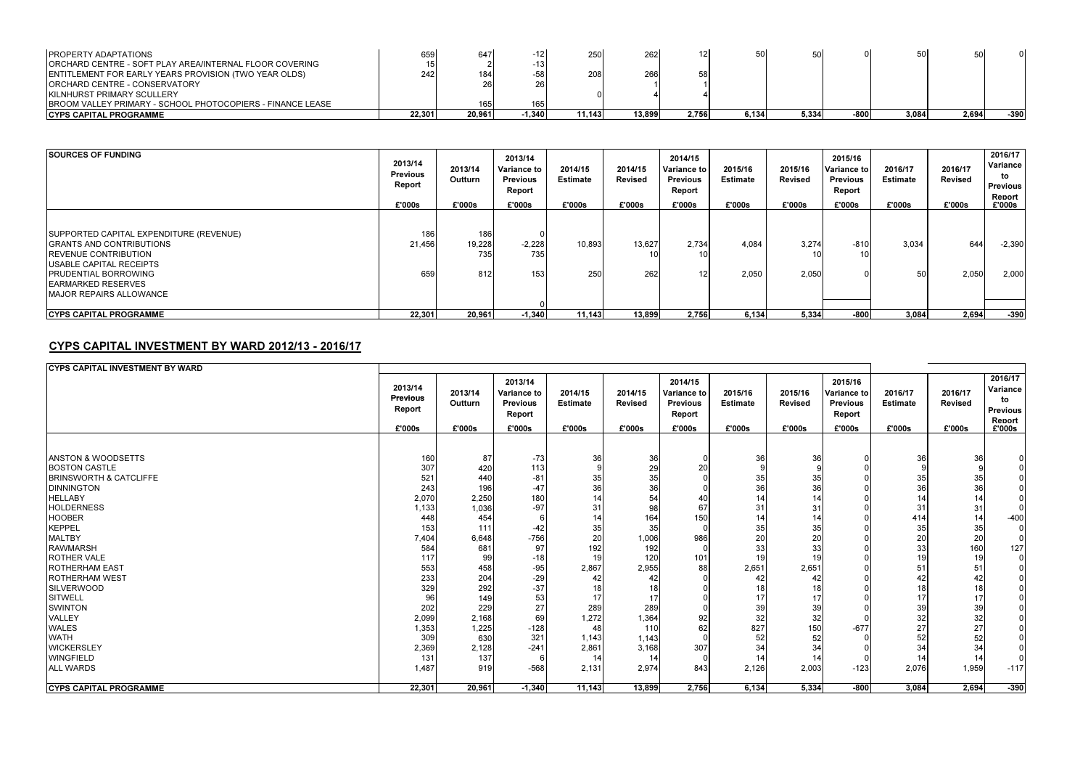| <b>PROPERTY ADAPTATIONS</b>                                        | 659    | 647    |        | 250     | 262    |       | 50I   |       |      |       |       |      |
|--------------------------------------------------------------------|--------|--------|--------|---------|--------|-------|-------|-------|------|-------|-------|------|
| ORCHARD CENTRE - SOFT PLAY AREA/INTERNAL FLOOR COVERING            |        |        |        |         |        |       |       |       |      |       |       |      |
| <b>IENTITLEMENT FOR EARLY YEARS PROVISION (TWO YEAR OLDS)</b>      | 742.   | 184I   |        | 208     | 266    | 58    |       |       |      |       |       |      |
| <b>IORCHARD CENTRE - CONSERVATORY</b>                              |        | 26     |        |         |        |       |       |       |      |       |       |      |
| <b>IKILNHURST PRIMARY SCULLERY</b>                                 |        |        |        |         |        |       |       |       |      |       |       |      |
| <b>IBROOM VALLEY PRIMARY - SCHOOL PHOTOCOPIERS - FINANCE LEASE</b> |        | 165    | 165    |         |        |       |       |       |      |       |       |      |
| <b>ICYPS CAPITAL PROGRAMME</b>                                     | 22.301 | 20,961 | -1,340 | 11.1431 | 13,899 | 2,756 | 6.134 | 5,334 | -800 | 3,084 | 2.694 | -390 |

| <b>SOURCES OF FUNDING</b>                                                                                                                                                                                                                      | 2013/14<br><b>Previous</b><br>Report<br>£'000s | 2013/14<br>Outturn<br>£'000s | 2013/14<br><b>Variance to</b><br><b>Previous</b><br>Report<br>£'000s | 2014/15<br><b>Estimate</b><br>£'000s | 2014/15<br><b>Revised</b><br>£'000s | 2014/15<br>Variance to<br><b>Previous</b><br>Report<br>£'000s | 2015/16<br><b>Estimate</b><br>£'000s | 2015/16<br><b>Revised</b><br>£'000s | 2015/16<br>Variance to<br><b>Previous</b><br>Report<br>£'000s | 2016/17<br>Estimate<br>£'000s | 2016/17<br><b>Revised</b><br>£'000s | 2016/17<br>Variance<br>to<br><b>Previous</b><br>Report<br>£'000s |
|------------------------------------------------------------------------------------------------------------------------------------------------------------------------------------------------------------------------------------------------|------------------------------------------------|------------------------------|----------------------------------------------------------------------|--------------------------------------|-------------------------------------|---------------------------------------------------------------|--------------------------------------|-------------------------------------|---------------------------------------------------------------|-------------------------------|-------------------------------------|------------------------------------------------------------------|
| SUPPORTED CAPITAL EXPENDITURE (REVENUE)<br><b>GRANTS AND CONTRIBUTIONS</b><br><b>IREVENUE CONTRIBUTION</b><br><b>IUSABLE CAPITAL RECEIPTS</b><br><b>IPRUDENTIAL BORROWING</b><br><b>IEARMARKED RESERVES</b><br><b>IMAJOR REPAIRS ALLOWANCE</b> | 186<br>21,456<br>659                           | 186<br>19,228<br>735<br>812  | $-2,228$<br>735<br>153                                               | 10,893<br>25C                        | 13,627<br>10 <sup>1</sup><br>262    | 2,734<br>10 <sup>1</sup><br>12 <sup>1</sup>                   | 4,084<br>2,050                       | 3,274<br>2,050                      | $-810$<br>10 <sub>1</sub>                                     | 3,034<br>-50                  | 644<br>2,050                        | $-2,390$<br>2,000                                                |
| <b>ICYPS CAPITAL PROGRAMME</b>                                                                                                                                                                                                                 | 22,301                                         | 20,961                       | $-1,340$                                                             | 11,143                               | 13,899                              | 2,756                                                         | 6,134                                | 5,334                               | $-800$                                                        | 3,084                         | 2,694                               | $-390$                                                           |

### CYPS CAPITAL INVESTMENT BY WARD 2012/13 - 2016/17

| <b>CYPS CAPITAL INVESTMENT BY WARD</b> |                                      |                    |                                                            |                            |                           |                                                            |                            |                           |                                                            |                            |                           |                                                        |
|----------------------------------------|--------------------------------------|--------------------|------------------------------------------------------------|----------------------------|---------------------------|------------------------------------------------------------|----------------------------|---------------------------|------------------------------------------------------------|----------------------------|---------------------------|--------------------------------------------------------|
|                                        | 2013/14<br><b>Previous</b><br>Report | 2013/14<br>Outturn | 2013/14<br><b>Variance to</b><br><b>Previous</b><br>Report | 2014/15<br><b>Estimate</b> | 2014/15<br><b>Revised</b> | 2014/15<br><b>Variance to</b><br><b>Previous</b><br>Report | 2015/16<br><b>Estimate</b> | 2015/16<br><b>Revised</b> | 2015/16<br><b>Variance to</b><br><b>Previous</b><br>Report | 2016/17<br><b>Estimate</b> | 2016/17<br><b>Revised</b> | 2016/17<br>Variance<br>to<br><b>Previous</b><br>Report |
|                                        | £'000s                               | £'000s             | £'000s                                                     | £'000s                     | £'000s                    | £'000s                                                     | £'000s                     | £'000s                    | £'000s                                                     | £'000s                     | £'000s                    | £'000s                                                 |
|                                        |                                      |                    |                                                            |                            |                           |                                                            |                            |                           |                                                            |                            |                           |                                                        |
| <b>JANSTON &amp; WOODSETTS</b>         | 160                                  | 87                 | $-73$                                                      | 36                         | 36                        |                                                            | 36                         | 36                        |                                                            | 36                         | 36                        |                                                        |
| <b>BOSTON CASTLE</b>                   | 307                                  | 420                | 113                                                        |                            | 29                        | 20                                                         |                            |                           |                                                            |                            |                           |                                                        |
| <b>BRINSWORTH &amp; CATCLIFFE</b>      | 521                                  | 440                | $-81$                                                      | 35                         | 35                        |                                                            | 35                         | 35                        |                                                            | 35                         | 35                        |                                                        |
| <b>DINNINGTON</b>                      | 243                                  | 196                | $-47$                                                      | 36                         | 36                        |                                                            | 36                         | 36                        |                                                            | 36                         | 36                        |                                                        |
| <b>HELLABY</b>                         | 2,070                                | 2,250              | 180                                                        | 14                         | 54                        | 40                                                         | 14                         |                           |                                                            |                            | 14                        |                                                        |
| <b>HOLDERNESS</b>                      | 1,133                                | 1,036              | $-97$                                                      | 31                         | 98                        | 67                                                         | 31                         | 31                        |                                                            | 31                         | 31                        |                                                        |
| <b>HOOBER</b>                          | 448                                  | 454                |                                                            | 14                         | 164                       | 150                                                        | 14                         |                           |                                                            | 414                        | 14                        | $-400$                                                 |
| <b>KEPPEL</b>                          | 153                                  | 111                | $-42$                                                      | 35                         | 35                        |                                                            | 35                         | 35                        |                                                            | 35                         | 35                        |                                                        |
| <b>MALTBY</b>                          | 7,404                                | 6,648              | $-756$                                                     | 20                         | 1,006                     | 986                                                        | 20                         | 20                        |                                                            | 20                         | 20                        |                                                        |
| <b>RAWMARSH</b>                        | 584                                  | 681                | 97                                                         | 192                        | 192                       |                                                            | 33                         | 33                        |                                                            | 33                         | 160                       | 127                                                    |
| <b>ROTHER VALE</b>                     | 117                                  | 99                 | $-18$                                                      | 19                         | 120                       | 101                                                        | 19                         |                           |                                                            | 19                         | 19                        |                                                        |
| <b>ROTHERHAM EAST</b>                  | 553                                  | 458                | $-95$                                                      | 2,867                      | 2,955                     | 88                                                         | 2,651                      | 2,651                     |                                                            | 51                         | 51                        |                                                        |
| <b>ROTHERHAM WEST</b>                  | 233                                  | 204                | $-29$                                                      | 42                         | 42                        |                                                            | 42                         |                           |                                                            |                            | 42                        |                                                        |
| <b>SILVERWOOD</b>                      | 329                                  | 292                | $-37$                                                      | 18                         | 18                        |                                                            |                            |                           |                                                            |                            | 18                        |                                                        |
| <b>SITWELL</b>                         | 96                                   | 149                | 53                                                         | 17                         | 17                        |                                                            | 17                         | 17                        |                                                            | 17                         | 17                        |                                                        |
| <b>SWINTON</b>                         | 202                                  | 229                | 27                                                         | 289                        | 289                       |                                                            | 39                         | 39                        |                                                            | 39                         | 39                        |                                                        |
| <b>VALLEY</b>                          | 2,099                                | 2,168              | 69                                                         | 1,272                      | 1,364                     | 92                                                         | 32                         | 32                        |                                                            | 32                         | 32                        |                                                        |
| <b>WALES</b>                           | 1,353                                | 1,225              | $-128$                                                     | 48                         | 110                       | 62                                                         | 827                        | 150                       | $-677$                                                     | 27                         | 27                        |                                                        |
| <b>WATH</b>                            | 309                                  | 630                | 321                                                        | 1,143                      | 1,143                     |                                                            | 52                         | 52                        |                                                            | 52                         | 52                        |                                                        |
| <b>WICKERSLEY</b>                      | 2,369                                | 2,128              | $-241$                                                     | 2,861                      | 3,168                     | 307                                                        | 34                         | 34                        |                                                            | 34                         | 34                        |                                                        |
| <b>WINGFIELD</b>                       | 131                                  | 137                |                                                            | 14                         | 14                        |                                                            | 14                         |                           |                                                            |                            | 14                        |                                                        |
| <b>ALL WARDS</b>                       | 1.487                                | 919                | $-568$                                                     | 2,131                      | 2,974                     | 843                                                        | 2,126                      | 2,003                     | $-123$                                                     | 2,076                      | 1,959                     | $-117$                                                 |
| <b>CYPS CAPITAL PROGRAMME</b>          | 22,301                               | 20,961             | $-1,340$                                                   | 11,143                     | 13,899                    | 2,756                                                      | 6,134                      | 5,334                     | $-800$                                                     | 3,084                      | 2,694                     | $-390$                                                 |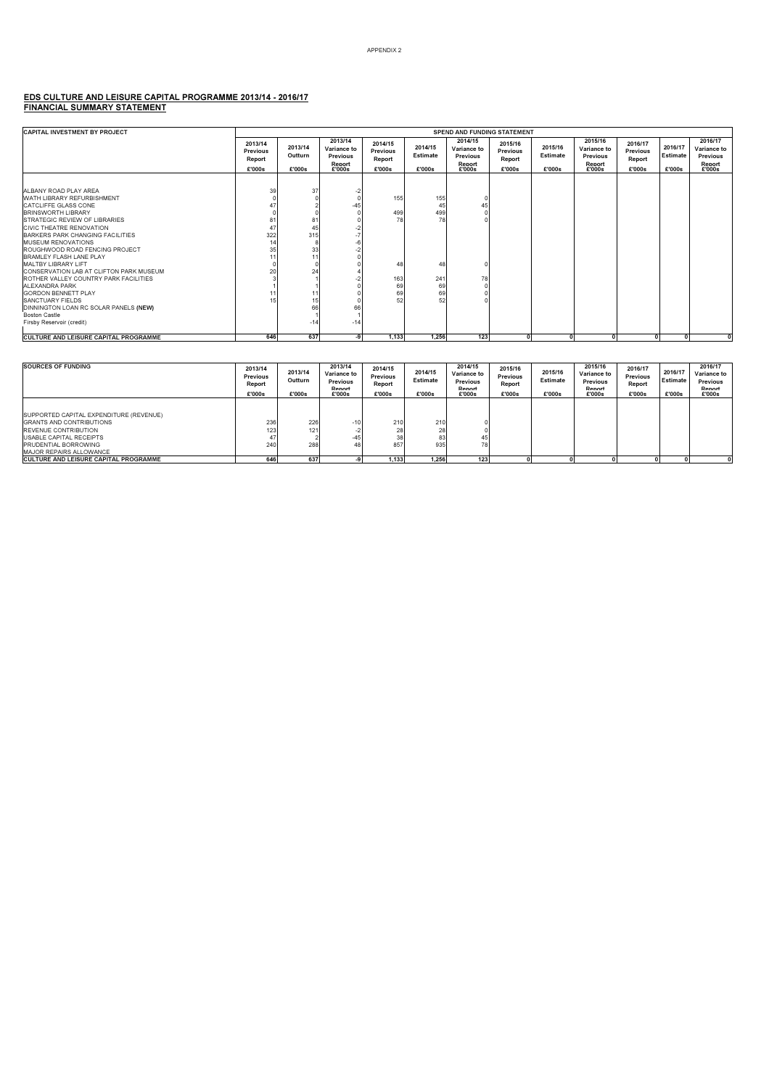### EDS CULTURE AND LEISURE CAPITAL PROGRAMME 2013/14 - 2016/17 FINANCIAL SUMMARY STATEMENT

| <b>CAPITAL INVESTMENT BY PROJECT</b>                          |                                         |                              |                                                               |                                         |                               | <b>SPEND AND FUNDING STATEMENT</b>                     |                                         |                               |                                                        |                                                |                               |                                                        |
|---------------------------------------------------------------|-----------------------------------------|------------------------------|---------------------------------------------------------------|-----------------------------------------|-------------------------------|--------------------------------------------------------|-----------------------------------------|-------------------------------|--------------------------------------------------------|------------------------------------------------|-------------------------------|--------------------------------------------------------|
|                                                               | 2013/14<br>Previous<br>Report<br>£'000s | 2013/14<br>Outturn<br>£'000s | 2013/14<br>Variance to<br><b>Previous</b><br>Report<br>£'000s | 2014/15<br>Previous<br>Report<br>£'000s | 2014/15<br>Estimate<br>£'000s | 2014/15<br>Variance to<br>Previous<br>Report<br>£'000s | 2015/16<br>Previous<br>Report<br>£'000s | 2015/16<br>Estimate<br>£'000s | 2015/16<br>Variance to<br>Previous<br>Report<br>£'000s | 2016/17<br><b>Previous</b><br>Report<br>£'000s | 2016/17<br>Estimate<br>£'000s | 2016/17<br>Variance to<br>Previous<br>Report<br>£'000s |
|                                                               |                                         |                              |                                                               |                                         |                               |                                                        |                                         |                               |                                                        |                                                |                               |                                                        |
| ALBANY ROAD PLAY AREA                                         | 39                                      | 37                           |                                                               |                                         |                               |                                                        |                                         |                               |                                                        |                                                |                               |                                                        |
| WATH LIBRARY REFURBISHMENT                                    |                                         |                              |                                                               | 155                                     | 155                           |                                                        |                                         |                               |                                                        |                                                |                               |                                                        |
| <b>CATCLIFFE GLASS CONE</b>                                   | 47                                      |                              | $-45$                                                         |                                         | 45                            | 45                                                     |                                         |                               |                                                        |                                                |                               |                                                        |
| <b>BRINSWORTH LIBRARY</b>                                     |                                         |                              |                                                               | 499                                     | 499                           |                                                        |                                         |                               |                                                        |                                                |                               |                                                        |
| <b>STRATEGIC REVIEW OF LIBRARIES</b>                          | 81                                      | 8 <sup>2</sup>               |                                                               | 78                                      | 78                            |                                                        |                                         |                               |                                                        |                                                |                               |                                                        |
| <b>CIVIC THEATRE RENOVATION</b>                               | 47                                      |                              |                                                               |                                         |                               |                                                        |                                         |                               |                                                        |                                                |                               |                                                        |
| BARKERS PARK CHANGING FACILITIES                              | 322                                     | 315                          |                                                               |                                         |                               |                                                        |                                         |                               |                                                        |                                                |                               |                                                        |
| <b>MUSEUM RENOVATIONS</b>                                     |                                         |                              |                                                               |                                         |                               |                                                        |                                         |                               |                                                        |                                                |                               |                                                        |
| ROUGHWOOD ROAD FENCING PROJECT                                | 35                                      | 33                           |                                                               |                                         |                               |                                                        |                                         |                               |                                                        |                                                |                               |                                                        |
| BRAMI FY FI ASH I ANF PI AY                                   |                                         | 1                            |                                                               |                                         |                               |                                                        |                                         |                               |                                                        |                                                |                               |                                                        |
| MALTBY LIBRARY LIFT                                           |                                         |                              |                                                               | 48                                      | 48                            |                                                        |                                         |                               |                                                        |                                                |                               |                                                        |
| CONSERVATION LAB AT CLIFTON PARK MUSEUM                       | 20                                      | 24                           |                                                               |                                         |                               |                                                        |                                         |                               |                                                        |                                                |                               |                                                        |
| ROTHER VALLEY COUNTRY PARK FACILITIES                         |                                         |                              |                                                               | 163                                     | 241                           | 78                                                     |                                         |                               |                                                        |                                                |                               |                                                        |
| ALEXANDRA PARK                                                |                                         |                              |                                                               | 69                                      | 69<br>69                      |                                                        |                                         |                               |                                                        |                                                |                               |                                                        |
| <b>GORDON BENNETT PLAY</b><br><b>SANCTUARY FIELDS</b>         |                                         |                              |                                                               | 69<br>52                                | 52                            |                                                        |                                         |                               |                                                        |                                                |                               |                                                        |
|                                                               |                                         |                              | 66                                                            |                                         |                               |                                                        |                                         |                               |                                                        |                                                |                               |                                                        |
| DINNINGTON LOAN RC SOLAR PANELS (NEW)<br><b>Boston Castle</b> |                                         |                              |                                                               |                                         |                               |                                                        |                                         |                               |                                                        |                                                |                               |                                                        |
| Firsby Reservoir (credit)                                     |                                         | $-14$                        | $-14$                                                         |                                         |                               |                                                        |                                         |                               |                                                        |                                                |                               |                                                        |
|                                                               |                                         |                              |                                                               |                                         |                               |                                                        |                                         |                               |                                                        |                                                |                               |                                                        |
| CULTURE AND LEISURE CAPITAL PROGRAMME                         | 646                                     | 637                          | -9                                                            | 1.133                                   | 1.256                         | 123                                                    |                                         |                               | $\mathbf{0}$                                           | $\sqrt{2}$                                     | $\Omega$                      |                                                        |

| <b>SOURCES OF FUNDING</b>                                                                                                                                                                              | 2013/14<br>Previous<br>Report<br>£'000s | 2013/14<br>Outturn<br>£'000s | 2013/14<br>Variance to<br>Previous<br>Renort<br>£'000s | 2014/15<br>Previous<br>Report<br>£'000s | 2014/15<br>Estimate<br>£'000s | 2014/15<br>Variance to<br>Previous<br>Renort<br>£'000s | 2015/16<br>Previous<br>Report<br>£'000s | 2015/16<br>Estimate<br>£'000s | 2015/16<br>Variance to<br>Previous<br>Renort<br>£'000s | 2016/17<br>Previous<br>Report<br>£'000s | 2016/17<br>Estimate<br>£'000s | 2016/17<br>Variance to<br>Previous<br>Renort<br>£'000s |
|--------------------------------------------------------------------------------------------------------------------------------------------------------------------------------------------------------|-----------------------------------------|------------------------------|--------------------------------------------------------|-----------------------------------------|-------------------------------|--------------------------------------------------------|-----------------------------------------|-------------------------------|--------------------------------------------------------|-----------------------------------------|-------------------------------|--------------------------------------------------------|
| SUPPORTED CAPITAL EXPENDITURE (REVENUE)<br><b>IGRANTS AND CONTRIBUTIONS</b><br><b>REVENUE CONTRIBUTION</b><br><b>USABLE CAPITAL RECEIPTS</b><br><b>PRUDENTIAL BORROWING</b><br>MAJOR REPAIRS ALLOWANCE | 236<br>123<br>47<br>240                 | 226<br>121<br>288            | $-10$<br>$-45$<br>48                                   | 210<br>28<br>38<br>857                  | 210<br>28<br>83<br>935        | 45<br>78                                               |                                         |                               |                                                        |                                         |                               |                                                        |
| <b>CULTURE AND LEISURE CAPITAL PROGRAMME</b>                                                                                                                                                           | 646                                     | 637                          |                                                        | 1.133                                   | 1.256                         | 123                                                    |                                         |                               |                                                        |                                         |                               |                                                        |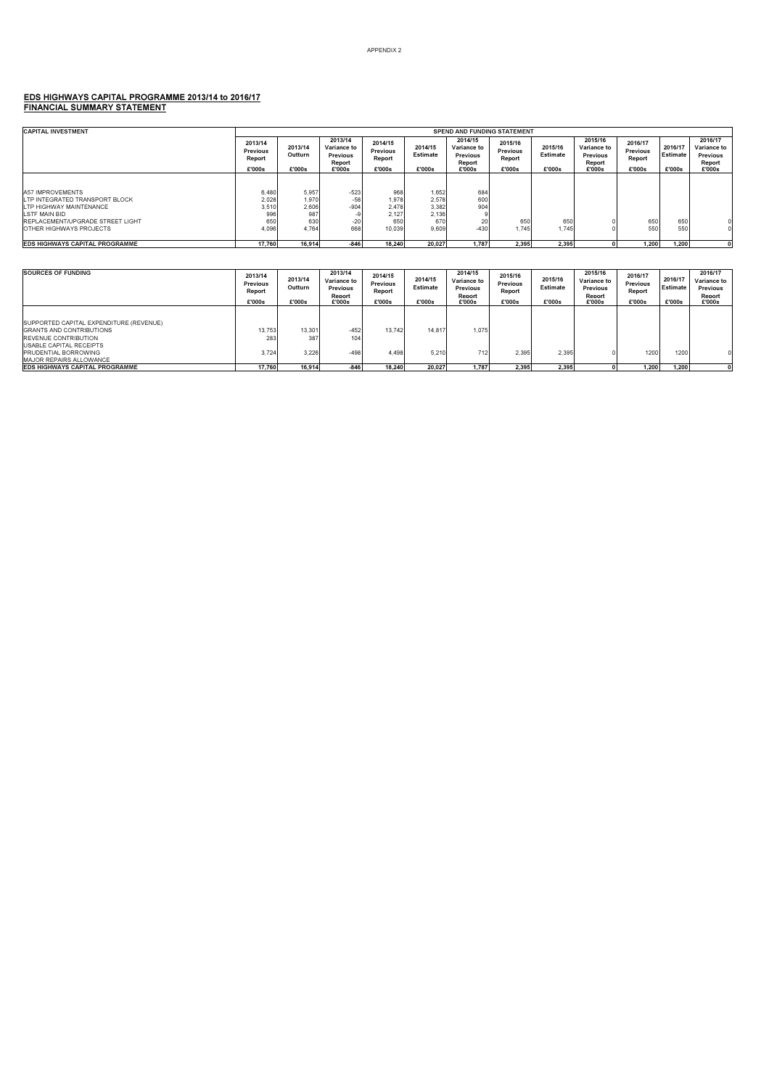### EDS HIGHWAYS CAPITAL PROGRAMME 2013/14 to 2016/17 FINANCIAL SUMMARY STATEMENT

| <b>CAPITAL INVESTMENT</b>             |                                         |                              |                                                               |                                         |                               | <b>SPEND AND FUNDING STATEMENT</b>                            |                                         |                               |                                                        |                                         |                               |                                                        |
|---------------------------------------|-----------------------------------------|------------------------------|---------------------------------------------------------------|-----------------------------------------|-------------------------------|---------------------------------------------------------------|-----------------------------------------|-------------------------------|--------------------------------------------------------|-----------------------------------------|-------------------------------|--------------------------------------------------------|
|                                       | 2013/14<br>Previous<br>Report<br>£'000s | 2013/14<br>Outturn<br>£'000s | 2013/14<br>Variance to<br><b>Previous</b><br>Report<br>£'000s | 2014/15<br>Previous<br>Report<br>£'000s | 2014/15<br>Estimate<br>£'000s | 2014/15<br>Variance to<br><b>Previous</b><br>Report<br>£'000s | 2015/16<br>Previous<br>Report<br>£'000s | 2015/16<br>Estimate<br>£'000s | 2015/16<br>Variance to<br>Previous<br>Report<br>£'000s | 2016/17<br>Previous<br>Report<br>£'000s | 2016/17<br>Estimate<br>£'000s | 2016/17<br>Variance to<br>Previous<br>Report<br>£'000s |
|                                       |                                         |                              |                                                               |                                         |                               |                                                               |                                         |                               |                                                        |                                         |                               |                                                        |
| <b>A57 IMPROVEMENTS</b>               | 6.480                                   | 5,957                        | $-523$                                                        | 968                                     | 1,652                         | 684                                                           |                                         |                               |                                                        |                                         |                               |                                                        |
| LTP INTEGRATED TRANSPORT BLOCK        | 2,028                                   | 1,970                        | $-58$                                                         | 1.978                                   | 2,578                         | 600                                                           |                                         |                               |                                                        |                                         |                               |                                                        |
| LTP HIGHWAY MAINTENANCE               | 3,510                                   | 2,606                        | $-904$                                                        | 2.478                                   | 3,382                         | 904                                                           |                                         |                               |                                                        |                                         |                               |                                                        |
| LSTF MAIN BID                         | 996                                     | 987                          |                                                               | 2.127                                   | 2,136                         |                                                               |                                         |                               |                                                        |                                         |                               |                                                        |
| REPI ACEMENT/UPGRADE STREET LIGHT     | 650                                     | 630                          | $-20$                                                         | 650                                     | 670                           | 20                                                            | 650                                     | 650                           |                                                        | 650                                     | 650                           |                                                        |
| OTHER HIGHWAYS PROJECTS               | 4,096                                   | 4.764                        | 668                                                           | 10.039                                  | 9.609                         | $-430$                                                        | 1.745                                   | 1.745                         |                                                        | 550                                     | 550                           |                                                        |
| <b>EDS HIGHWAYS CAPITAL PROGRAMME</b> | 17.760                                  | 16.914                       | $-846$                                                        | 18.240                                  | 20.027                        | 1.787                                                         | 2.395                                   | 2.395                         |                                                        | 1.200                                   | 1.200                         |                                                        |

| <b>SOURCES OF FUNDING</b>                                                                                                                   | 2013/14<br>Previous<br>Report<br>£'000s | 2013/14<br>Outturn<br>£'000s | 2013/14<br>Variance to<br><b>Previous</b><br>Renort<br>£'000s | 2014/15<br>Previous<br>Report<br>£'000s | 2014/15<br>Estimate<br>£'000s | 2014/15<br>Variance to<br>Previous<br>Renort<br>£'000s | 2015/16<br>Previous<br>Report<br>£'000s | 2015/16<br>Estimate<br>£'000s | 2015/16<br>Variance to<br>Previous<br>Report<br>£'000s | 2016/17<br>Previous<br>Report<br>£'000s | 2016/17<br>Estimate<br>£'000s | 2016/17<br>Variance to<br>Previous<br>Report<br>£'000s |
|---------------------------------------------------------------------------------------------------------------------------------------------|-----------------------------------------|------------------------------|---------------------------------------------------------------|-----------------------------------------|-------------------------------|--------------------------------------------------------|-----------------------------------------|-------------------------------|--------------------------------------------------------|-----------------------------------------|-------------------------------|--------------------------------------------------------|
| SUPPORTED CAPITAL EXPENDITURE (REVENUE)<br><b>GRANTS AND CONTRIBUTIONS</b><br><b>REVENUE CONTRIBUTION</b><br><b>USABLE CAPITAL RECEIPTS</b> | 13,753<br>283                           | 13,301<br>387                | $-452$<br>104                                                 | 13.742                                  | 14.817                        | 1,075                                                  |                                         |                               |                                                        |                                         |                               |                                                        |
| <b>PRUDENTIAL BORROWING</b><br><b>MAJOR REPAIRS ALLOWANCE</b>                                                                               | 3.724                                   | 3.226                        | $-498$                                                        | 4.498                                   | 5.210                         | 712                                                    | 2.395                                   | 2.395                         |                                                        | 1200                                    | 1200                          |                                                        |
| <b>EDS HIGHWAYS CAPITAL PROGRAMME</b>                                                                                                       | 17.760                                  | 16.914                       | $-846$                                                        | 18.240                                  | 20.027                        | 1.787                                                  | 2.395                                   | 2.395                         |                                                        | 1.200                                   | 1.200                         |                                                        |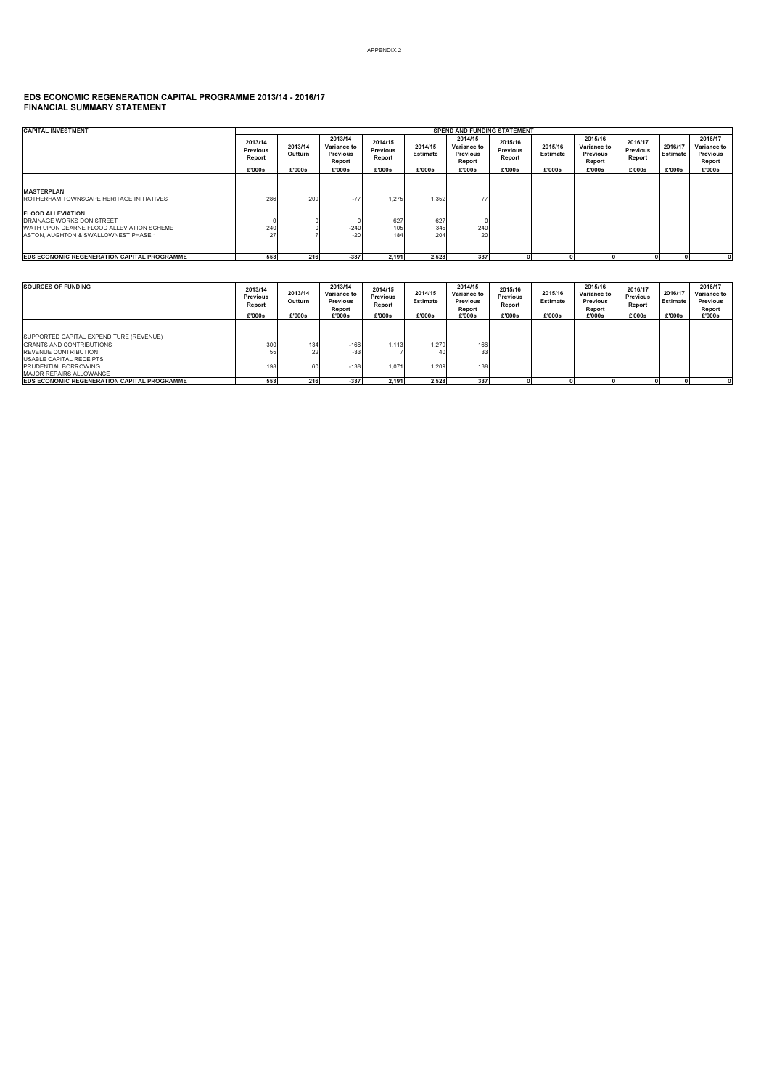### EDS ECONOMIC REGENERATION CAPITAL PROGRAMME 2013/14 - 2016/17 FINANCIAL SUMMARY STATEMENT

| <b>CAPITAL INVESTMENT</b>                                                         |                                                |                              |                                                        |                                         |                               | <b>SPEND AND FUNDING STATEMENT</b>                                   |                                         |                               |                                                        |                                         |                               |                                                        |
|-----------------------------------------------------------------------------------|------------------------------------------------|------------------------------|--------------------------------------------------------|-----------------------------------------|-------------------------------|----------------------------------------------------------------------|-----------------------------------------|-------------------------------|--------------------------------------------------------|-----------------------------------------|-------------------------------|--------------------------------------------------------|
|                                                                                   | 2013/14<br><b>Previous</b><br>Report<br>£'000s | 2013/14<br>Outturn<br>£'000s | 2013/14<br>Variance to<br>Previous<br>Report<br>£'000s | 2014/15<br>Previous<br>Report<br>£'000s | 2014/15<br>Estimate<br>£'000s | 2014/15<br><b>Variance to</b><br><b>Previous</b><br>Report<br>£'000s | 2015/16<br>Previous<br>Report<br>£'000s | 2015/16<br>Estimate<br>£'000s | 2015/16<br>Variance to<br>Previous<br>Report<br>£'000s | 2016/17<br>Previous<br>Report<br>£'000s | 2016/17<br>Estimate<br>£'000s | 2016/17<br>Variance to<br>Previous<br>Report<br>£'000s |
|                                                                                   |                                                |                              |                                                        |                                         |                               |                                                                      |                                         |                               |                                                        |                                         |                               |                                                        |
| <b>MASTERPLAN</b><br>ROTHERHAM TOWNSCAPE HERITAGE INITIATIVES                     | 286                                            | 209                          | $-77$                                                  | 1.275                                   | 1,352                         | 77                                                                   |                                         |                               |                                                        |                                         |                               |                                                        |
| <b>FLOOD ALLEVIATION</b>                                                          |                                                |                              |                                                        |                                         |                               |                                                                      |                                         |                               |                                                        |                                         |                               |                                                        |
| <b>DRAINAGE WORKS DON STREET</b>                                                  |                                                |                              |                                                        | 627                                     | 627                           |                                                                      |                                         |                               |                                                        |                                         |                               |                                                        |
| WATH UPON DEARNE FLOOD ALLEVIATION SCHEME<br>ASTON, AUGHTON & SWALLOWNEST PHASE 1 | 240<br>27                                      |                              | $-240$<br>$-20$                                        | 105<br>184                              | 345<br>204                    | 240<br>20                                                            |                                         |                               |                                                        |                                         |                               |                                                        |
| <b>EDS ECONOMIC REGENERATION CAPITAL PROGRAMME</b>                                | 553                                            | 216                          | $-337$                                                 | 2,191                                   | 2,528                         | 337                                                                  |                                         |                               |                                                        |                                         |                               |                                                        |
|                                                                                   |                                                |                              |                                                        |                                         |                               |                                                                      |                                         |                               |                                                        |                                         |                               |                                                        |

| <b>SOURCES OF FUNDING</b>                                                                                                                                                                       | 2013/14<br>Previous<br>Report<br>£'000s | 2013/14<br>Outturn<br>£'000s | 2013/14<br>Variance to<br>Previous<br>Report<br>£'000s | 2014/15<br>Previous<br>Report<br>£'000s | 2014/15<br>Estimate<br>£'000s | 2014/15<br>Variance to<br>Previous<br>Report<br>£'000s | 2015/16<br>Previous<br>Report<br>£'000s | 2015/16<br>Estimate<br>£'000s | 2015/16<br><b>Variance to</b><br>Previous<br>Report<br>£'000s | 2016/17<br>Previous<br>Report<br>£'000s | 2016/17<br>Estimate<br>£'000s | 2016/17<br>Variance to<br>Previous<br>Report<br>£'000s |
|-------------------------------------------------------------------------------------------------------------------------------------------------------------------------------------------------|-----------------------------------------|------------------------------|--------------------------------------------------------|-----------------------------------------|-------------------------------|--------------------------------------------------------|-----------------------------------------|-------------------------------|---------------------------------------------------------------|-----------------------------------------|-------------------------------|--------------------------------------------------------|
| SUPPORTED CAPITAL EXPENDITURE (REVENUE)<br><b>IGRANTS AND CONTRIBUTIONS</b><br><b>REVENUE CONTRIBUTION</b><br>USABLE CAPITAL RECEIPTS<br>PRUDENTIAL BORROWING<br><b>MAJOR REPAIRS ALLOWANCE</b> | 300<br>55<br>1981                       | 134<br>22<br>60              | $-166$<br>-33<br>$-138$                                | 1.113<br>1.071                          | 1.279<br>40<br>1.209          | 166<br>33<br>138                                       |                                         |                               |                                                               |                                         |                               |                                                        |
| <b>EDS ECONOMIC REGENERATION CAPITAL PROGRAMME</b>                                                                                                                                              | 553                                     | 216                          | $-337$                                                 | 2.191                                   | 2.528                         | 337                                                    |                                         |                               |                                                               |                                         |                               |                                                        |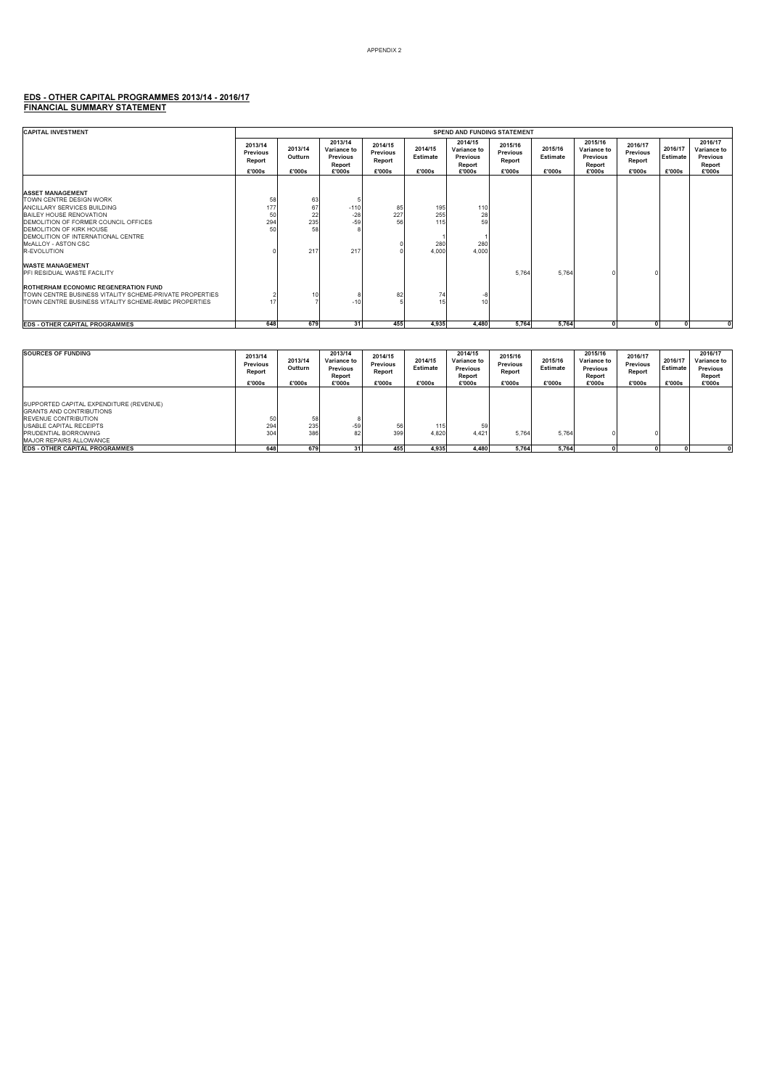#### APPENDIX 2

### EDS - OTHER CAPITAL PROGRAMMES 2013/14 - 2016/17 FINANCIAL SUMMARY STATEMENT

| <b>CAPITAL INVESTMENT</b>                                                                                                                                                                                                                                                                                                                    | <b>SPEND AND FUNDING STATEMENT</b>      |                                    |                                                               |                                         |                                   |                                                        |                                         |                               |                                                               |                                         |                               |                                                        |  |
|----------------------------------------------------------------------------------------------------------------------------------------------------------------------------------------------------------------------------------------------------------------------------------------------------------------------------------------------|-----------------------------------------|------------------------------------|---------------------------------------------------------------|-----------------------------------------|-----------------------------------|--------------------------------------------------------|-----------------------------------------|-------------------------------|---------------------------------------------------------------|-----------------------------------------|-------------------------------|--------------------------------------------------------|--|
|                                                                                                                                                                                                                                                                                                                                              | 2013/14<br>Previous<br>Report<br>£'000s | 2013/14<br>Outturn<br>£'000s       | 2013/14<br>Variance to<br><b>Previous</b><br>Report<br>£'000s | 2014/15<br>Previous<br>Report<br>£'000s | 2014/15<br>Estimate<br>£'000s     | 2014/15<br>Variance to<br>Previous<br>Report<br>£'000s | 2015/16<br>Previous<br>Report<br>£'000s | 2015/16<br>Estimate<br>£'000s | 2015/16<br>Variance to<br><b>Previous</b><br>Report<br>£'000s | 2016/17<br>Previous<br>Report<br>£'000s | 2016/17<br>Estimate<br>£'000s | 2016/17<br>Variance to<br>Previous<br>Report<br>£'000s |  |
| <b>ASSET MANAGEMENT</b><br>TOWN CENTRE DESIGN WORK<br><b>JANCILLARY SERVICES BUILDING</b><br><b>BAILEY HOUSE RENOVATION</b><br>DEMOLITION OF FORMER COUNCIL OFFICES<br><b>DEMOLITION OF KIRK HOUSE</b><br>DEMOLITION OF INTERNATIONAL CENTRE<br>McALLOY - ASTON CSC<br>R-EVOLUTION<br><b>WASTE MANAGEMENT</b><br>PFI RESIDUAL WASTE FACILITY | 58<br>177<br>50<br>294<br>50            | 63<br>67<br>22<br>235<br>58<br>217 | $-110$<br>$-28$<br>$-59$<br>217                               | 85<br>227<br>56                         | 195<br>255<br>115<br>280<br>4,000 | 110<br>28<br>59<br>280<br>4,000                        | 5.764                                   | 5.764                         |                                                               |                                         |                               |                                                        |  |
| ROTHERHAM ECONOMIC REGENERATION FUND<br>TOWN CENTRE BUSINESS VITALITY SCHEME-PRIVATE PROPERTIES<br>TOWN CENTRE BUSINESS VITALITY SCHEME-RMBC PROPERTIES                                                                                                                                                                                      |                                         | 10                                 | $-1($                                                         | 82                                      | 74<br>15                          | -8<br>10                                               |                                         |                               |                                                               |                                         |                               |                                                        |  |
| <b>EDS - OTHER CAPITAL PROGRAMMES</b>                                                                                                                                                                                                                                                                                                        | 648                                     | 679                                | 31                                                            | 455                                     | 4.935                             | 4.480                                                  | 5,764                                   | 5.764                         | $\mathbf{0}$                                                  |                                         |                               |                                                        |  |

| <b>SOURCES OF FUNDING</b>                                                                                                                                                                                     | 2013/14<br>Previous<br>Report<br>£'000s | 2013/14<br>Outturn<br>£'000s | 2013/14<br>Variance to<br>Previous<br>Report<br>£'000s | 2014/15<br>Previous<br>Report<br>£'000s | 2014/15<br>Estimate<br>£'000s | 2014/15<br>Variance to<br>Previous<br>Report<br>£'000s | 2015/16<br>Previous<br>Report<br>£'000s | 2015/16<br>Estimate<br>£'000s | 2015/16<br>Variance to<br>Previous<br>Report<br>£'000s | 2016/17<br>Previous<br>Report<br>£'000s | 2016/17<br>Estimate<br>£'000s | 2016/17<br>Variance to<br>Previous<br>Report<br>£'000s |
|---------------------------------------------------------------------------------------------------------------------------------------------------------------------------------------------------------------|-----------------------------------------|------------------------------|--------------------------------------------------------|-----------------------------------------|-------------------------------|--------------------------------------------------------|-----------------------------------------|-------------------------------|--------------------------------------------------------|-----------------------------------------|-------------------------------|--------------------------------------------------------|
| SUPPORTED CAPITAL EXPENDITURE (REVENUE)<br><b>IGRANTS AND CONTRIBUTIONS</b><br><b>REVENUE CONTRIBUTION</b><br><b>USABLE CAPITAL RECEIPTS</b><br><b>PRUDENTIAL BORROWING</b><br><b>MAJOR REPAIRS ALLOWANCE</b> | 50<br>294<br>304                        | 58<br>235<br>386             | $-59$<br>82                                            | 56<br>399                               | 115<br>4.820                  | 59<br>4.421                                            | 5.764                                   | 5.764                         |                                                        |                                         |                               |                                                        |
| <b>EDS - OTHER CAPITAL PROGRAMMES</b>                                                                                                                                                                         | 648                                     | 679                          | 31                                                     | 455                                     | 4.935                         | 4.480                                                  | 5.764                                   | 5.764                         |                                                        |                                         |                               |                                                        |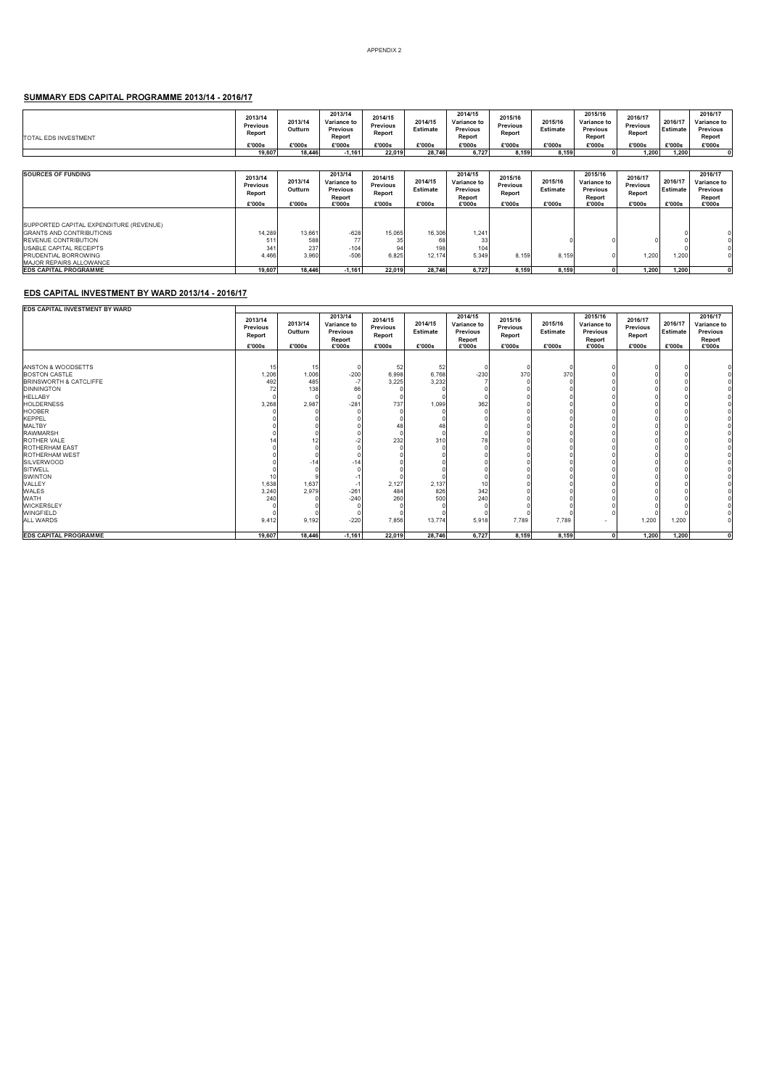#### SUMMARY EDS CAPITAL PROGRAMME 2013/14 - 2016/17

| TOTAL EDS INVESTMENT                                                                                                                                         | 2013/14<br><b>Previous</b><br>Report           | 2013/14<br>Outturn            | 2013/14<br>Variance to<br><b>Previous</b><br>Report           | 2014/15<br>Previous<br>Report                  | 2014/15<br>Estimate           | 2014/15<br>Variance to<br><b>Previous</b><br>Report           | 2015/16<br>Previous<br>Report           | 2015/16<br>Estimate           | 2015/16<br>Variance to<br>Previous<br>Report           | 2016/17<br>Previous<br>Report                  | 2016/17<br>Estimate           | 2016/17<br>Variance to<br>Previous<br>Report           |
|--------------------------------------------------------------------------------------------------------------------------------------------------------------|------------------------------------------------|-------------------------------|---------------------------------------------------------------|------------------------------------------------|-------------------------------|---------------------------------------------------------------|-----------------------------------------|-------------------------------|--------------------------------------------------------|------------------------------------------------|-------------------------------|--------------------------------------------------------|
|                                                                                                                                                              | £'000s<br>19,607                               | £'000s<br>18,446              | £'000s<br>$-1.161$                                            | £'000s<br>22.019                               | £'000s<br>28.746              | £'000s<br>6.727                                               | £'000s<br>8.159                         | £'000s<br>8,159               | £'000s                                                 | £'000s<br>1.200                                | £'000s<br>1,200               | £'000s<br>$\Omega$                                     |
|                                                                                                                                                              |                                                |                               |                                                               |                                                |                               |                                                               |                                         |                               |                                                        |                                                |                               |                                                        |
| <b>SOURCES OF FUNDING</b>                                                                                                                                    | 2013/14<br><b>Previous</b><br>Report<br>£'000s | 2013/14<br>Outturn<br>£'000s  | 2013/14<br>Variance to<br><b>Previous</b><br>Report<br>£'000s | 2014/15<br><b>Previous</b><br>Report<br>£'000s | 2014/15<br>Estimate<br>£'000s | 2014/15<br>Variance to<br><b>Previous</b><br>Report<br>£'000s | 2015/16<br>Previous<br>Report<br>£'000s | 2015/16<br>Estimate<br>£'000s | 2015/16<br>Variance to<br>Previous<br>Report<br>£'000s | 2016/17<br><b>Previous</b><br>Report<br>£'000s | 2016/17<br>Estimate<br>£'000s | 2016/17<br>Variance to<br>Previous<br>Report<br>£'000s |
| SUPPORTED CAPITAL EXPENDITURE (REVENUE)<br><b>GRANTS AND CONTRIBUTIONS</b><br><b>REVENUE CONTRIBUTION</b><br>USABLE CAPITAL RECEIPTS<br>PRUDENTIAL BORROWING | 14,289<br>51<br>341<br>4,466                   | 13,661<br>588<br>237<br>3,960 | $-628$<br>77<br>$-104$<br>$-506$                              | 15,065<br>35<br>94<br>6,825                    | 16,306<br>68<br>198<br>12,174 | 1,24<br>33<br>104<br>5,349                                    | 8,159                                   | 8,159                         |                                                        | 1,200                                          | 1,200                         |                                                        |
| MAJOR REPAIRS ALLOWANCE                                                                                                                                      |                                                |                               |                                                               |                                                |                               |                                                               |                                         |                               |                                                        |                                                |                               |                                                        |
| <b>EDS CAPITAL PROGRAMME</b>                                                                                                                                 | 19,607                                         | 18,446                        | $-1.161$                                                      | 22.019                                         | 28.746                        | 6,727                                                         | 8.159                                   | 8.159                         | $\Omega$                                               | 1.200                                          | 1.200                         | 0                                                      |

#### EDS CAPITAL INVESTMENT BY WARD 2013/14 - 2016/17

EDS CAPITAL INVESTMENT BY WARD

| LDS CAPTIAL INVESTMENT BT WARD |                                         |                              |                                                               |                                         |                                      |                                                               |                                         |                               |                                                        |                                                |                               |                                                        |
|--------------------------------|-----------------------------------------|------------------------------|---------------------------------------------------------------|-----------------------------------------|--------------------------------------|---------------------------------------------------------------|-----------------------------------------|-------------------------------|--------------------------------------------------------|------------------------------------------------|-------------------------------|--------------------------------------------------------|
|                                | 2013/14<br>Previous<br>Report<br>£'000s | 2013/14<br>Outturn<br>£'000s | 2013/14<br>Variance to<br><b>Previous</b><br>Report<br>£'000s | 2014/15<br>Previous<br>Report<br>£'000s | 2014/15<br><b>Estimate</b><br>£'000s | 2014/15<br>Variance to<br><b>Previous</b><br>Report<br>£'000s | 2015/16<br>Previous<br>Report<br>£'000s | 2015/16<br>Estimate<br>£'000s | 2015/16<br>Variance to<br>Previous<br>Report<br>£'000s | 2016/17<br><b>Previous</b><br>Report<br>£'000s | 2016/17<br>Estimate<br>£'000s | 2016/17<br>Variance to<br>Previous<br>Report<br>£'000s |
|                                |                                         |                              |                                                               |                                         |                                      |                                                               |                                         |                               |                                                        |                                                |                               |                                                        |
|                                |                                         |                              |                                                               |                                         |                                      |                                                               |                                         |                               |                                                        |                                                |                               |                                                        |
| ANSTON & WOODSETTS             | 15                                      | 15                           |                                                               | 52                                      | 52                                   |                                                               |                                         |                               |                                                        |                                                |                               |                                                        |
| <b>BOSTON CASTLE</b>           | 1,206                                   | 1,006                        | $-200$                                                        | 6,998                                   | 6,768                                | $-230$                                                        | 370                                     | 370                           |                                                        |                                                |                               |                                                        |
| BRINSWORTH & CATCLIFFE         | 492                                     | 485                          |                                                               | 3,225                                   | 3,232                                |                                                               |                                         |                               |                                                        |                                                |                               |                                                        |
| <b>DINNINGTON</b>              | 72                                      | 138                          | 66                                                            |                                         |                                      |                                                               |                                         |                               |                                                        |                                                |                               |                                                        |
| <b>HELLABY</b>                 |                                         |                              |                                                               |                                         |                                      |                                                               |                                         |                               |                                                        |                                                |                               |                                                        |
| <b>HOLDERNESS</b>              | 3,268                                   | 2,987                        | $-281$                                                        | 737                                     | 1,099                                | 362                                                           |                                         |                               |                                                        |                                                |                               |                                                        |
| <b>HOOBER</b>                  |                                         |                              |                                                               |                                         |                                      |                                                               |                                         |                               |                                                        |                                                |                               |                                                        |
| <b>KEPPEL</b>                  |                                         |                              |                                                               |                                         |                                      |                                                               |                                         |                               |                                                        |                                                |                               |                                                        |
| <b>MALTBY</b>                  |                                         |                              |                                                               | 48                                      | 48                                   |                                                               |                                         |                               |                                                        |                                                |                               |                                                        |
| <b>RAWMARSH</b>                |                                         |                              |                                                               |                                         |                                      |                                                               |                                         |                               |                                                        |                                                |                               |                                                        |
| ROTHER VALE                    |                                         | 12                           |                                                               | 232                                     | 310                                  | 78                                                            |                                         |                               |                                                        |                                                |                               |                                                        |
| <b>ROTHERHAM EAST</b>          |                                         |                              |                                                               |                                         |                                      |                                                               |                                         |                               |                                                        |                                                |                               |                                                        |
| <b>ROTHERHAM WEST</b>          |                                         |                              |                                                               |                                         |                                      |                                                               |                                         |                               |                                                        |                                                |                               |                                                        |
| <b>SILVERWOOD</b>              |                                         | $-14$                        | $-14$                                                         |                                         |                                      |                                                               |                                         |                               |                                                        |                                                |                               |                                                        |
| SITWELL                        |                                         |                              |                                                               |                                         |                                      |                                                               |                                         |                               |                                                        |                                                |                               |                                                        |
| <b>SWINTON</b>                 | 10                                      |                              |                                                               |                                         |                                      |                                                               |                                         |                               |                                                        |                                                |                               |                                                        |
| VALLEY                         | 1,638                                   | 1,637                        |                                                               | 2,127                                   | 2,137                                | 10                                                            |                                         |                               |                                                        |                                                |                               |                                                        |
| WALES                          | 3,240                                   | 2,979                        | $-261$                                                        | 484                                     | 826                                  | 342                                                           |                                         |                               |                                                        |                                                |                               |                                                        |
| <b>WATH</b>                    | 240                                     |                              | $-240$                                                        | 260                                     | 500                                  | 240                                                           |                                         |                               |                                                        |                                                |                               |                                                        |
| WICKERSLEY                     |                                         |                              |                                                               |                                         |                                      |                                                               |                                         |                               |                                                        |                                                |                               |                                                        |
| <b>WINGFIELD</b>               |                                         |                              |                                                               |                                         |                                      |                                                               |                                         |                               |                                                        |                                                |                               |                                                        |
| <b>ALL WARDS</b>               | 9.412                                   | 9,192                        | $-220$                                                        | 7.856                                   | 13,774                               | 5,918                                                         | 7,789                                   | 7,789                         | $\overline{\phantom{a}}$                               | 1,200                                          | 1.200                         |                                                        |
| <b>EDS CAPITAL PROGRAMME</b>   | 19,607                                  | 18,446                       | $-1.161$                                                      | 22,019                                  | 28,746                               | 6,727                                                         | 8,159                                   | 8,159                         | $\overline{0}$                                         | 1,200                                          | 1,200                         | $\mathbf 0$                                            |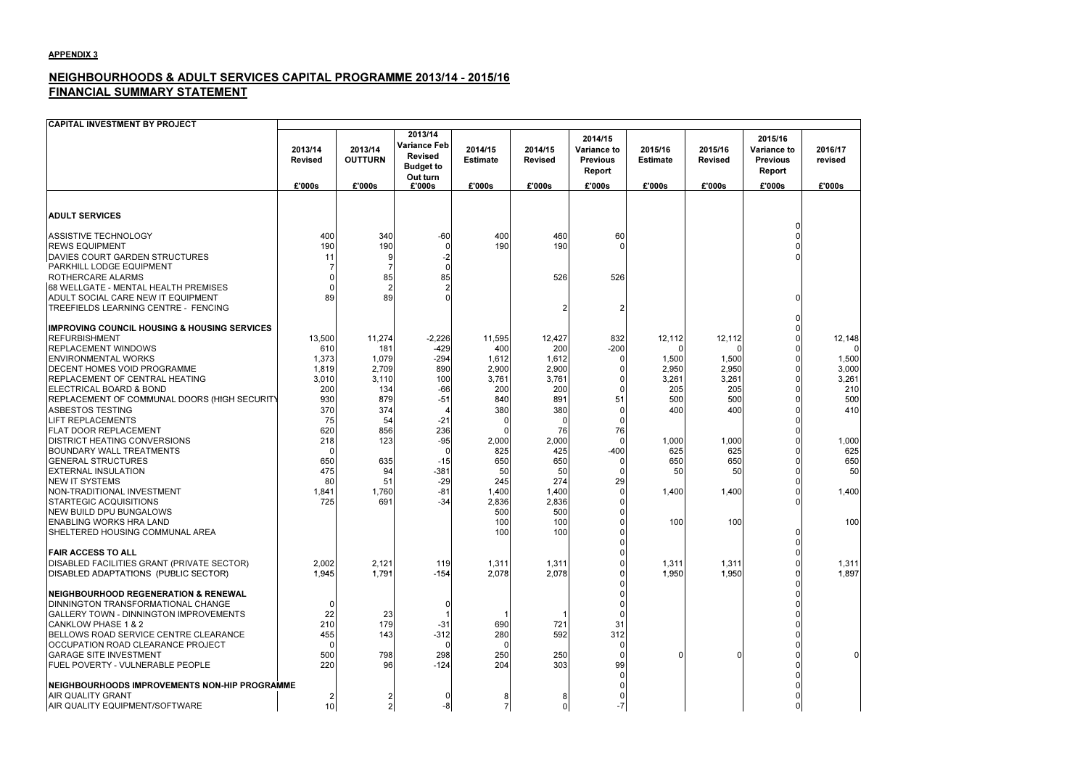### NEIGHBOURHOODS & ADULT SERVICES CAPITAL PROGRAMME 2013/14 - 2015/16FINANCIAL SUMMARY STATEMENT



| <b>CAPITAL INVESTMENT BY PROJECT</b>                                                                                                                                                                                                                                                                                                                                                                                                                                                                                                                                                                                                                                                                                      |                                                                                                                       |                                                                                                                      |                                                                                                                                     |                                                                                                                                          |                                                                                                                                                |                                                                   |                                                                                                     |                                                                                                     |                                                                   |                                                                                                                 |
|---------------------------------------------------------------------------------------------------------------------------------------------------------------------------------------------------------------------------------------------------------------------------------------------------------------------------------------------------------------------------------------------------------------------------------------------------------------------------------------------------------------------------------------------------------------------------------------------------------------------------------------------------------------------------------------------------------------------------|-----------------------------------------------------------------------------------------------------------------------|----------------------------------------------------------------------------------------------------------------------|-------------------------------------------------------------------------------------------------------------------------------------|------------------------------------------------------------------------------------------------------------------------------------------|------------------------------------------------------------------------------------------------------------------------------------------------|-------------------------------------------------------------------|-----------------------------------------------------------------------------------------------------|-----------------------------------------------------------------------------------------------------|-------------------------------------------------------------------|-----------------------------------------------------------------------------------------------------------------|
|                                                                                                                                                                                                                                                                                                                                                                                                                                                                                                                                                                                                                                                                                                                           | 2013/14<br><b>Revised</b>                                                                                             | 2013/14<br><b>OUTTURN</b>                                                                                            | 2013/14<br><b>Variance Feb</b><br><b>Revised</b><br><b>Budget to</b><br>Out turn                                                    | 2014/15<br><b>Estimate</b>                                                                                                               | 2014/15<br><b>Revised</b>                                                                                                                      | 2014/15<br><b>Variance to</b><br><b>Previous</b><br><b>Report</b> | 2015/16<br><b>Estimate</b>                                                                          | 2015/16<br><b>Revised</b>                                                                           | 2015/16<br><b>Variance to</b><br><b>Previous</b><br><b>Report</b> | 2016/17<br>revised                                                                                              |
|                                                                                                                                                                                                                                                                                                                                                                                                                                                                                                                                                                                                                                                                                                                           | £'000s                                                                                                                | £'000s                                                                                                               | £'000s                                                                                                                              | £'000s                                                                                                                                   | £'000s                                                                                                                                         | £'000s                                                            | £'000s                                                                                              | £'000s                                                                                              | £'000s                                                            | £'000s                                                                                                          |
| <b>ADULT SERVICES</b>                                                                                                                                                                                                                                                                                                                                                                                                                                                                                                                                                                                                                                                                                                     |                                                                                                                       |                                                                                                                      |                                                                                                                                     |                                                                                                                                          |                                                                                                                                                |                                                                   |                                                                                                     |                                                                                                     |                                                                   |                                                                                                                 |
| <b>ASSISTIVE TECHNOLOGY</b><br><b>IREWS EQUIPMENT</b><br>DAVIES COURT GARDEN STRUCTURES<br>PARKHILL LODGE EQUIPMENT<br>ROTHERCARE ALARMS<br>68 WELLGATE - MENTAL HEALTH PREMISES<br>ADULT SOCIAL CARE NEW IT EQUIPMENT<br><b>TREEFIELDS LEARNING CENTRE - FENCING</b>                                                                                                                                                                                                                                                                                                                                                                                                                                                     | 400<br>190<br>11<br>89                                                                                                | 340<br>190<br>85<br>89                                                                                               | $-60$<br>-2<br>85                                                                                                                   | 400<br>190                                                                                                                               | 460<br>190<br>526                                                                                                                              | 60<br>526                                                         |                                                                                                     |                                                                                                     | 0<br>O<br>O                                                       |                                                                                                                 |
| <b>IMPROVING COUNCIL HOUSING &amp; HOUSING SERVICES</b><br><b>REFURBISHMENT</b><br><b>REPLACEMENT WINDOWS</b><br><b>ENVIRONMENTAL WORKS</b><br><b>DECENT HOMES VOID PROGRAMME</b><br>REPLACEMENT OF CENTRAL HEATING<br>ELECTRICAL BOARD & BOND<br>REPLACEMENT OF COMMUNAL DOORS (HIGH SECURITY<br><b>ASBESTOS TESTING</b><br><b>LIFT REPLACEMENTS</b><br><b>FLAT DOOR REPLACEMENT</b><br><b>DISTRICT HEATING CONVERSIONS</b><br><b>BOUNDARY WALL TREATMENTS</b><br><b>GENERAL STRUCTURES</b><br><b>EXTERNAL INSULATION</b><br><b>NEW IT SYSTEMS</b><br>NON-TRADITIONAL INVESTMENT<br><b>STARTEGIC ACQUISITIONS</b><br><b>NEW BUILD DPU BUNGALOWS</b><br><b>ENABLING WORKS HRA LAND</b><br>SHELTERED HOUSING COMMUNAL AREA | 13,500<br>610<br>1,373<br>1,819<br>3,010<br>200<br>930<br>370<br>75<br>620<br>218<br>650<br>475<br>80<br>1,841<br>725 | 11,274<br>181<br>1,079<br>2,709<br>3,110<br>134<br>879<br>374<br>54<br>856<br>123<br>635<br>94<br>51<br>1,760<br>691 | $-2,226$<br>$-429$<br>$-294$<br>890<br>100<br>$-66$<br>$-51$<br>$-21$<br>236<br>$-95$<br>$-15$<br>$-381$<br>$-29$<br>$-81$<br>$-34$ | 11,595<br>400<br>1,612<br>2,900<br>3,761<br>200<br>840<br>380<br>2,000<br>825<br>650<br>50<br>245<br>1,400<br>2,836<br>500<br>100<br>100 | 12,427<br>200<br>1,612<br>2,900<br>3,761<br>200<br>891<br>380<br>76<br>2,000<br>425<br>650<br>50<br>274<br>1,400<br>2,836<br>500<br>100<br>100 | 832<br>$-200$<br>51<br>76<br>$-400$<br>29                         | 12,112<br>1,500<br>2,950<br>3,261<br>205<br>500<br>400<br>1,000<br>625<br>650<br>50<br>1,400<br>100 | 12,112<br>1,500<br>2,950<br>3,261<br>205<br>500<br>400<br>1,000<br>625<br>650<br>50<br>1,400<br>100 |                                                                   | 12,148<br>$\Omega$<br>1,500<br>3,000<br>3,261<br>210<br>500<br>410<br>1,000<br>625<br>650<br>50<br>1,400<br>100 |
| <b>FAIR ACCESS TO ALL</b><br>DISABLED FACILITIES GRANT (PRIVATE SECTOR)<br>DISABLED ADAPTATIONS (PUBLIC SECTOR)                                                                                                                                                                                                                                                                                                                                                                                                                                                                                                                                                                                                           | 2,002<br>1,945                                                                                                        | 2,121<br>1,791                                                                                                       | 119<br>$-154$                                                                                                                       | 1,311<br>2,078                                                                                                                           | 1,311<br>2,078                                                                                                                                 |                                                                   | 1,311<br>1,950                                                                                      | 1,311<br>1,950                                                                                      |                                                                   | 1,311<br>1,897                                                                                                  |
| <b>INEIGHBOURHOOD REGENERATION &amp; RENEWAL</b><br><b>DINNINGTON TRANSFORMATIONAL CHANGE</b><br>GALLERY TOWN - DINNINGTON IMPROVEMENTS<br>CANKLOW PHASE 1 & 2<br>BELLOWS ROAD SERVICE CENTRE CLEARANCE<br>OCCUPATION ROAD CLEARANCE PROJECT<br><b>GARAGE SITE INVESTMENT</b><br><b>FUEL POVERTY - VULNERABLE PEOPLE</b><br>NEIGHBOURHOODS IMPROVEMENTS NON-HIP PROGRAMME<br><b>AIR QUALITY GRANT</b><br>AIR QUALITY EQUIPMENT/SOFTWARE                                                                                                                                                                                                                                                                                   | 22<br>210<br>455<br>500<br>220<br>$\overline{\mathbf{c}}$<br>10                                                       | 23<br>179<br>143<br>798<br>96<br>2                                                                                   | $-31$<br>$-312$<br>298<br>$-124$<br>-8                                                                                              | 690<br>280<br>250<br>204<br>$\overline{7}$                                                                                               | 721<br>592<br>250<br>303<br>$\overline{0}$                                                                                                     | 31<br>312<br>99                                                   |                                                                                                     | ∩                                                                                                   |                                                                   | $\Omega$                                                                                                        |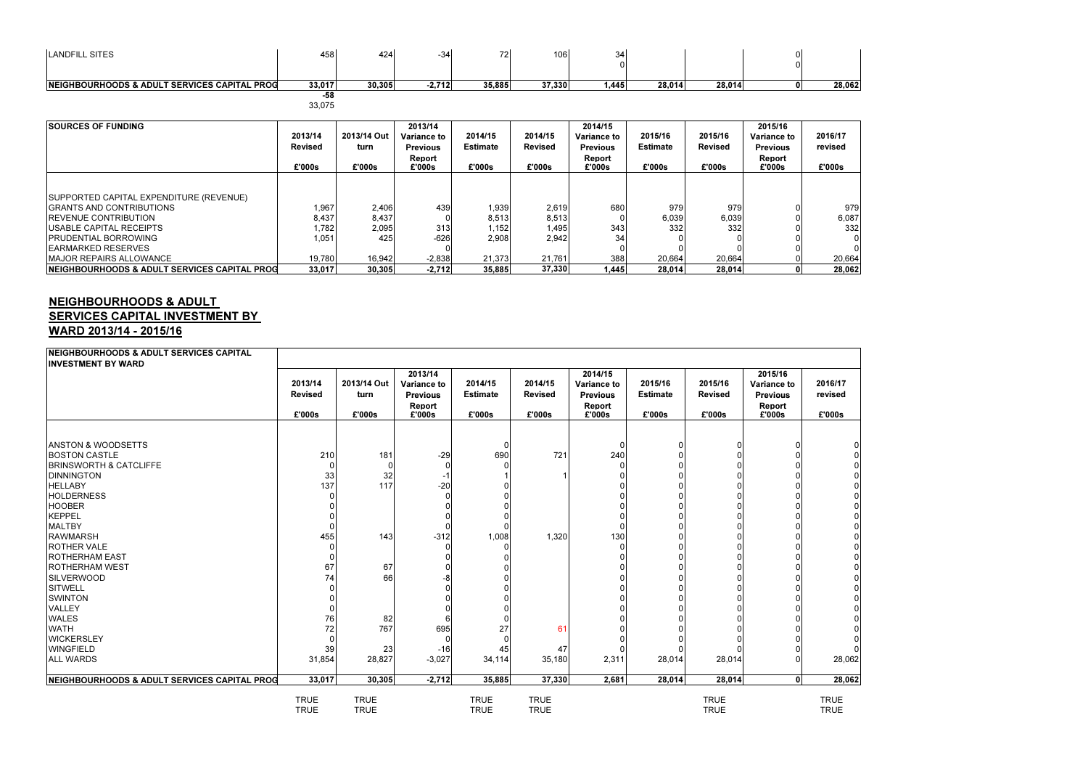| LANDFILL SITES                               | 458l   | 424    | 34-      | 72<br>▗ | 106    | u    |        |        |  |
|----------------------------------------------|--------|--------|----------|---------|--------|------|--------|--------|--|
| NEIGHBOURHOODS & ADULT SERVICES CAPITAL PROG | 33,017 | 30,305 | $-2,712$ | 35,885  | 37,330 | .445 | 28.014 | 28.014 |  |
|                                              | ro.    |        |          |         |        |      |        |        |  |

| <b>ISOURCES OF FUNDING</b>                               |                |             | 2013/14         |                 |                | 2014/15            |                 |                | 2015/16            |    |
|----------------------------------------------------------|----------------|-------------|-----------------|-----------------|----------------|--------------------|-----------------|----------------|--------------------|----|
|                                                          | 2013/14        | 2013/14 Out | Variance to     | 2014/15         | 2014/15        | <b>Variance to</b> | 2015/16         | 2015/16        | <b>Variance to</b> |    |
|                                                          | <b>Revised</b> | turn        | <b>Previous</b> | <b>Estimate</b> | <b>Revised</b> | <b>Previous</b>    | <b>Estimate</b> | <b>Revised</b> | <b>Previous</b>    | r( |
|                                                          |                |             | <b>Report</b>   |                 |                | <b>Report</b>      |                 |                | Report             |    |
|                                                          | £'000s         | £'000s      | £'000s          | £'000s          | £'000s         | £'000s             | £'000s          | £'000s         | £'000s             |    |
|                                                          |                |             |                 |                 |                |                    |                 |                |                    |    |
|                                                          |                |             |                 |                 |                |                    |                 |                |                    |    |
| SUPPORTED CAPITAL EXPENDITURE (REVENUE)                  |                |             |                 |                 |                |                    |                 |                |                    |    |
| IGRANTS AND CONTRIBUTIONS                                | 1,967          | 2,406       | 439             | 1,939           | 2,619          | 680l               | 979             | 979            |                    |    |
| <b>IREVENUE CONTRIBUTION</b>                             | 8,437          | 8,437       |                 | 8,513           | 8,513          |                    | 6,039           | 6,039          |                    |    |
| USABLE CAPITAL RECEIPTS                                  | 1.782          | 2,095       | 313             | 1.1521          | l.495l         | 343                | 332             | 332            |                    |    |
| IPRUDENTIAL BORROWING                                    | 1,051          | 425         | $-626$          | 2,908           | 2,942          | 34                 |                 |                |                    |    |
| IEARMARKED RESERVES                                      |                |             |                 |                 |                |                    |                 |                |                    |    |
| <b>IMAJOR REPAIRS ALLOWANCE</b>                          | 19,780         | 16,942      | $-2,838$        | 21.373          | 21,761         | 388                | 20.664          | 20.664         |                    |    |
| <b>INEIGHBOURHOODS &amp; ADULT SERVICES CAPITAL PROG</b> | 33.017         | 30.305      | $-2,712$        | 35.885          | 37,330         | 1.445              | 28.014          | 28.014         |                    |    |

### NEIGHBOURHOODS & ADULT SERVICES CAPITAL INVESTMENT BY WARD 2013/14 - 2015/16

| <b>LANDFILL SITES</b>                                                                                                                                                                                                                                                                                                                                                                                                                                                                                               | 458                                                                            | 424                                                                              | $-34$                                                                      | 72                                                   | 106                                                  | 34<br>$\Omega$                                             |                                         |                                         | $\Omega$<br>$\Omega$                                       |                                         |
|---------------------------------------------------------------------------------------------------------------------------------------------------------------------------------------------------------------------------------------------------------------------------------------------------------------------------------------------------------------------------------------------------------------------------------------------------------------------------------------------------------------------|--------------------------------------------------------------------------------|----------------------------------------------------------------------------------|----------------------------------------------------------------------------|------------------------------------------------------|------------------------------------------------------|------------------------------------------------------------|-----------------------------------------|-----------------------------------------|------------------------------------------------------------|-----------------------------------------|
| NEIGHBOURHOODS & ADULT SERVICES CAPITAL PROG                                                                                                                                                                                                                                                                                                                                                                                                                                                                        | 33,017                                                                         | 30,305                                                                           | $-2,712$                                                                   | 35,885                                               | 37,330                                               | 1,445                                                      | 28,014                                  | 28,014                                  | 0l                                                         | 28,062                                  |
|                                                                                                                                                                                                                                                                                                                                                                                                                                                                                                                     | $-58$<br>33,075                                                                |                                                                                  |                                                                            |                                                      |                                                      |                                                            |                                         |                                         |                                                            |                                         |
| <b>SOURCES OF FUNDING</b>                                                                                                                                                                                                                                                                                                                                                                                                                                                                                           | 2013/14<br><b>Revised</b>                                                      | 2013/14 Out<br>turn                                                              | 2013/14<br><b>Variance to</b><br><b>Previous</b><br>Report                 | 2014/15<br><b>Estimate</b>                           | 2014/15<br><b>Revised</b>                            | 2014/15<br><b>Variance to</b><br><b>Previous</b><br>Report | 2015/16<br><b>Estimate</b>              | 2015/16<br><b>Revised</b>               | 2015/16<br><b>Variance to</b><br><b>Previous</b><br>Report | 2016/17<br>revised                      |
|                                                                                                                                                                                                                                                                                                                                                                                                                                                                                                                     | £'000s                                                                         | £'000s                                                                           | £'000s                                                                     | £'000s                                               | £'000s                                               | £'000s                                                     | £'000s                                  | £'000s                                  | £'000s                                                     | £'000s                                  |
| SUPPORTED CAPITAL EXPENDITURE (REVENUE)<br><b>GRANTS AND CONTRIBUTIONS</b><br><b>REVENUE CONTRIBUTION</b><br><b>USABLE CAPITAL RECEIPTS</b><br><b>PRUDENTIAL BORROWING</b><br><b>EARMARKED RESERVES</b><br>MAJOR REPAIRS ALLOWANCE<br>NEIGHBOURHOODS & ADULT SERVICES CAPITAL PROG                                                                                                                                                                                                                                  | 1,967<br>8,437<br>1,782<br>1,051<br>19,780<br>33,017                           | 2,406<br>8,437<br>2,095<br>425<br>16,942<br>30,305                               | 439<br>313<br>$-626$<br>$-2,838$<br>$-2,712$                               | 1,939<br>8,513<br>1,152<br>2,908<br>21,373<br>35,885 | 2,619<br>8,513<br>1,495<br>2,942<br>21,761<br>37,330 | 680<br>$\Omega$<br>343<br>34<br>388<br>1,445               | 979<br>6,039<br>332<br>20,664<br>28,014 | 979<br>6,039<br>332<br>20,664<br>28,014 | O<br>0<br>0l                                               | 979<br>6,087<br>332<br>20,664<br>28,062 |
| <b>NEIGHBOURHOODS &amp; ADULT</b><br><b>SERVICES CAPITAL INVESTMENT BY</b><br><b>WARD 2013/14 - 2015/16</b><br>NEIGHBOURHOODS & ADULT SERVICES CAPITAL                                                                                                                                                                                                                                                                                                                                                              |                                                                                |                                                                                  |                                                                            |                                                      |                                                      |                                                            |                                         |                                         |                                                            |                                         |
| <b>INVESTMENT BY WARD</b>                                                                                                                                                                                                                                                                                                                                                                                                                                                                                           |                                                                                |                                                                                  | 2013/14                                                                    |                                                      |                                                      | 2014/15                                                    |                                         |                                         | 2015/16                                                    |                                         |
|                                                                                                                                                                                                                                                                                                                                                                                                                                                                                                                     | 2013/14<br><b>Revised</b><br>£'000s                                            | 2013/14 Out<br>turn<br>£'000s                                                    | <b>Variance to</b><br><b>Previous</b><br>Report<br>£'000s                  | 2014/15<br><b>Estimate</b><br>£'000s                 | 2014/15<br><b>Revised</b><br>£'000s                  | <b>Variance to</b><br><b>Previous</b><br>Report<br>£'000s  | 2015/16<br><b>Estimate</b><br>£'000s    | 2015/16<br><b>Revised</b><br>£'000s     | <b>Variance to</b><br><b>Previous</b><br>Report<br>£'000s  | 2016/17<br>revised<br>£'000s            |
| <b>ANSTON &amp; WOODSETTS</b><br><b>BOSTON CASTLE</b><br><b>BRINSWORTH &amp; CATCLIFFE</b><br><b>DINNINGTON</b><br><b>HELLABY</b><br><b>HOLDERNESS</b><br><b>HOOBER</b><br><b>KEPPEL</b><br><b>MALTBY</b><br><b>RAWMARSH</b><br><b>ROTHER VALE</b><br><b>ROTHERHAM EAST</b><br><b>ROTHERHAM WEST</b><br><b>SILVERWOOD</b><br><b>SITWELL</b><br><b>SWINTON</b><br>VALLEY<br><b>WALES</b><br><b>WATH</b><br><b>WICKERSLEY</b><br><b>WINGFIELD</b><br><b>ALL WARDS</b><br>NEIGHBOURHOODS & ADULT SERVICES CAPITAL PROG | 210<br>0<br>33<br>137<br>455<br>67<br>74<br>76<br>72<br>39<br>31,854<br>33,017 | 181<br>ΟI<br>32<br>117<br>143<br>67<br>66<br>82<br>767<br>23<br>28,827<br>30,305 | $-29$<br>0<br>$-20$<br>0<br>$-312$<br>695<br>$-16$<br>$-3,027$<br>$-2,712$ | 690<br>1,008<br>27<br>45<br>34,114<br>35,885         | 721<br>1,320<br>61<br>47<br>35,180<br>37,330         | 240<br>130<br>2,311<br>2,681                               | $\mathbf 0$<br>28,014<br>28,014         | 01<br>0<br>0<br>28,014<br>28,014        | $\Omega$<br>0l                                             | 0 <br>28,062<br>28,062                  |
|                                                                                                                                                                                                                                                                                                                                                                                                                                                                                                                     |                                                                                |                                                                                  |                                                                            |                                                      |                                                      |                                                            |                                         |                                         |                                                            |                                         |
|                                                                                                                                                                                                                                                                                                                                                                                                                                                                                                                     | <b>TRUE</b><br><b>TRUE</b>                                                     | <b>TRUE</b><br><b>TRUE</b>                                                       |                                                                            | <b>TRUE</b><br><b>TRUE</b>                           | <b>TRUE</b><br><b>TRUE</b>                           |                                                            |                                         | <b>TRUE</b><br><b>TRUE</b>              |                                                            | <b>TRUE</b><br><b>TRUE</b>              |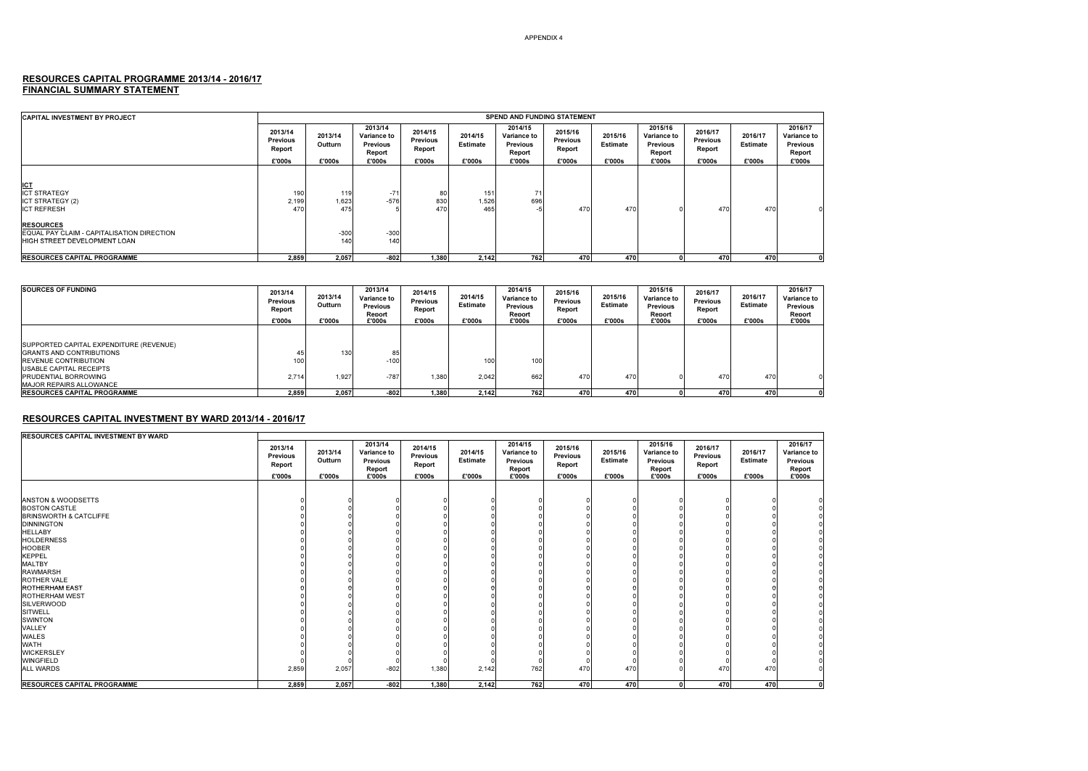## RESOURCES CAPITAL PROGRAMME 2013/14 - 2016/17<br>FINANCIAL SUMMARY STATEMENT

| <b>CAPITAL INVESTMENT BY PROJECT</b>                                                                          | <b>SPEND AND FUNDING STATEMENT</b>             |                              |                                                                      |                                         |                                      |                                                               |                                                |                               |                                                                      |                                                |                                      |                                                               |
|---------------------------------------------------------------------------------------------------------------|------------------------------------------------|------------------------------|----------------------------------------------------------------------|-----------------------------------------|--------------------------------------|---------------------------------------------------------------|------------------------------------------------|-------------------------------|----------------------------------------------------------------------|------------------------------------------------|--------------------------------------|---------------------------------------------------------------|
|                                                                                                               | 2013/14<br><b>Previous</b><br>Report<br>£'000s | 2013/14<br>Outturn<br>£'000s | 2013/14<br><b>Variance to</b><br><b>Previous</b><br>Report<br>£'000s | 2014/15<br>Previous<br>Report<br>£'000s | 2014/15<br><b>Estimate</b><br>£'000s | 2014/15<br>Variance to<br><b>Previous</b><br>Report<br>£'000s | 2015/16<br><b>Previous</b><br>Report<br>£'000s | 2015/16<br>Estimate<br>£'000s | 2015/16<br><b>Variance to</b><br><b>Previous</b><br>Report<br>£'000s | 2016/17<br><b>Previous</b><br>Report<br>£'000s | 2016/17<br><b>Estimate</b><br>£'000s | 2016/17<br>Variance to<br><b>Previous</b><br>Report<br>£'000s |
|                                                                                                               |                                                |                              |                                                                      |                                         |                                      |                                                               |                                                |                               |                                                                      |                                                |                                      |                                                               |
| <b>ICT</b><br><b>ICT STRATEGY</b><br><b>ICT STRATEGY (2)</b><br><b>ICT REFRESH</b>                            | 190<br>2,199<br>47 <sup>C</sup>                | 119<br>1,623<br>475          | $-71$<br>$-576$                                                      | 80<br>830<br>470                        | 151<br>1,526<br>465                  | 71<br>696                                                     | 470                                            | 47 <sub>C</sub>               |                                                                      | 470                                            | 470                                  |                                                               |
| <b>RESOURCES</b><br><b>LEQUAL PAY CLAIM - CAPITALISATION DIRECTION</b><br><b>HIGH STREET DEVELOPMENT LOAN</b> |                                                | $-300$<br>140                | $-300$<br>140                                                        |                                         |                                      |                                                               |                                                |                               |                                                                      |                                                |                                      |                                                               |
| <b>RESOURCES CAPITAL PROGRAMME</b>                                                                            | 2,859                                          | 2,057                        | $-802$                                                               | 1.380                                   | 2,142                                | 762                                                           | 470                                            | 470                           |                                                                      | 470                                            | 470                                  |                                                               |

| <b>SOURCES OF FUNDING</b>                                                                                                                                                                                     | 2013/14<br><b>Previous</b><br>Report<br>£'000s | 2013/14<br>Outturn<br>£'000s | 2013/14<br><b>Variance to</b><br><b>Previous</b><br>Renort<br>£'000s | 2014/15<br><b>Previous</b><br>Report<br>£'000s | 2014/15<br>Estimate<br>£'000s | 2014/15<br><b>Variance to</b><br><b>Previous</b><br>Renort<br>£'000s | 2015/16<br><b>Previous</b><br>Report<br>£'000s | 2015/16<br><b>Estimate</b><br>£'000s | 2015/16<br><b>Variance to</b><br><b>Previous</b><br>Renort<br>£'000s | 2016/17<br><b>Previous</b><br>Report<br>£'000s | 2016/17<br><b>Estimate</b><br>£'000s | 2016/17<br><b>Variance to</b><br><b>Previous</b><br>Renort<br>£'000s |
|---------------------------------------------------------------------------------------------------------------------------------------------------------------------------------------------------------------|------------------------------------------------|------------------------------|----------------------------------------------------------------------|------------------------------------------------|-------------------------------|----------------------------------------------------------------------|------------------------------------------------|--------------------------------------|----------------------------------------------------------------------|------------------------------------------------|--------------------------------------|----------------------------------------------------------------------|
| SUPPORTED CAPITAL EXPENDITURE (REVENUE)<br><b>GRANTS AND CONTRIBUTIONS</b><br><b>IREVENUE CONTRIBUTION</b><br><b>USABLE CAPITAL RECEIPTS</b><br><b>PRUDENTIAL BORROWING</b><br><b>MAJOR REPAIRS ALLOWANCE</b> | 45<br>100<br>2.714                             | 130<br>1.927                 | 85<br>$-100$<br>$-787$                                               | 1.380                                          | 100<br>2.042                  | 100<br>662                                                           | 470                                            | 470                                  |                                                                      | 470                                            | 470                                  |                                                                      |
| <b>IRESOURCES CAPITAL PROGRAMME</b>                                                                                                                                                                           | 2.859                                          | 2,057                        | $-802$                                                               | 1.380                                          | 2.142                         | 7621                                                                 | 470                                            | 470                                  |                                                                      | 470                                            | 470                                  |                                                                      |

### RESOURCES CAPITAL INVESTMENT BY WARD 2013/14 - 2016/17

| <b>RESOURCES CAPITAL INVESTMENT BY WARD</b> |                                                |                              |                                                               |                                                |                               |                                                               |                                                |                                      |                                                               |                                                |                                      |                                                               |
|---------------------------------------------|------------------------------------------------|------------------------------|---------------------------------------------------------------|------------------------------------------------|-------------------------------|---------------------------------------------------------------|------------------------------------------------|--------------------------------------|---------------------------------------------------------------|------------------------------------------------|--------------------------------------|---------------------------------------------------------------|
|                                             | 2013/14<br><b>Previous</b><br>Report<br>£'000s | 2013/14<br>Outturn<br>£'000s | 2013/14<br>Variance to<br><b>Previous</b><br>Report<br>£'000s | 2014/15<br><b>Previous</b><br>Report<br>£'000s | 2014/15<br>Estimate<br>£'000s | 2014/15<br>Variance to<br><b>Previous</b><br>Report<br>£'000s | 2015/16<br><b>Previous</b><br>Report<br>£'000s | 2015/16<br><b>Estimate</b><br>£'000s | 2015/16<br>Variance to<br><b>Previous</b><br>Report<br>£'000s | 2016/17<br><b>Previous</b><br>Report<br>£'000s | 2016/17<br><b>Estimate</b><br>£'000s | 2016/17<br>Variance to<br><b>Previous</b><br>Report<br>£'000s |
|                                             |                                                |                              |                                                               |                                                |                               |                                                               |                                                |                                      |                                                               |                                                |                                      |                                                               |
| <b>ANSTON &amp; WOODSETTS</b>               |                                                |                              |                                                               |                                                |                               |                                                               |                                                |                                      |                                                               |                                                |                                      |                                                               |
| <b>BOSTON CASTLE</b>                        |                                                |                              |                                                               |                                                |                               |                                                               |                                                |                                      |                                                               |                                                |                                      |                                                               |
| <b>BRINSWORTH &amp; CATCLIFFE</b>           |                                                |                              |                                                               |                                                |                               |                                                               |                                                |                                      |                                                               |                                                |                                      |                                                               |
| <b>DINNINGTON</b>                           |                                                |                              |                                                               |                                                |                               |                                                               |                                                |                                      |                                                               |                                                |                                      |                                                               |
| <b>HELLABY</b>                              |                                                |                              |                                                               |                                                |                               |                                                               |                                                |                                      |                                                               |                                                |                                      |                                                               |
| <b>HOLDERNESS</b>                           |                                                |                              |                                                               |                                                |                               |                                                               |                                                |                                      |                                                               |                                                |                                      |                                                               |
| <b>HOOBER</b>                               |                                                |                              |                                                               |                                                |                               |                                                               |                                                |                                      |                                                               |                                                |                                      |                                                               |
| <b>KEPPEL</b>                               |                                                |                              |                                                               |                                                |                               |                                                               |                                                |                                      |                                                               |                                                |                                      |                                                               |
| <b>MALTBY</b>                               |                                                |                              |                                                               |                                                |                               |                                                               |                                                |                                      |                                                               |                                                |                                      |                                                               |
| <b>RAWMARSH</b>                             |                                                |                              |                                                               |                                                |                               |                                                               |                                                |                                      |                                                               |                                                |                                      |                                                               |
| ROTHER VALE                                 |                                                |                              |                                                               |                                                |                               |                                                               |                                                |                                      |                                                               |                                                |                                      |                                                               |
| <b>ROTHERHAM EAST</b>                       |                                                |                              |                                                               |                                                |                               |                                                               |                                                |                                      |                                                               |                                                |                                      |                                                               |
| <b>ROTHERHAM WEST</b>                       |                                                |                              |                                                               |                                                |                               |                                                               |                                                |                                      |                                                               |                                                |                                      |                                                               |
| <b>SILVERWOOD</b>                           |                                                |                              |                                                               |                                                |                               |                                                               |                                                |                                      |                                                               |                                                |                                      |                                                               |
| <b>SITWELL</b>                              |                                                |                              |                                                               |                                                |                               |                                                               |                                                |                                      |                                                               |                                                |                                      |                                                               |
| <b>SWINTON</b>                              |                                                |                              |                                                               |                                                |                               |                                                               |                                                |                                      |                                                               |                                                |                                      |                                                               |
| VALLEY                                      |                                                |                              |                                                               |                                                |                               |                                                               |                                                |                                      |                                                               |                                                |                                      |                                                               |
| WALES                                       |                                                |                              |                                                               |                                                |                               |                                                               |                                                |                                      |                                                               |                                                |                                      |                                                               |
| <b>WATH</b>                                 |                                                |                              |                                                               |                                                |                               |                                                               |                                                |                                      |                                                               |                                                |                                      |                                                               |
| <b>WICKERSLEY</b>                           |                                                |                              |                                                               |                                                |                               |                                                               |                                                |                                      |                                                               |                                                |                                      |                                                               |
| <b>WINGFIELD</b>                            |                                                |                              |                                                               |                                                |                               |                                                               |                                                |                                      |                                                               |                                                |                                      |                                                               |
| <b>ALL WARDS</b>                            | 2,859                                          | 2,057                        | $-802$                                                        | 1,380                                          | 2,142                         | 762                                                           | 470                                            | 470                                  |                                                               | 470                                            | 470                                  |                                                               |
| <b>RESOURCES CAPITAL PROGRAMME</b>          | 2,859                                          | 2,057                        | $-802$                                                        | 1,380                                          | 2,142                         | 762                                                           | 470                                            | 470                                  | $\mathbf{0}$                                                  | 470                                            | 470                                  | $\mathbf 0$                                                   |